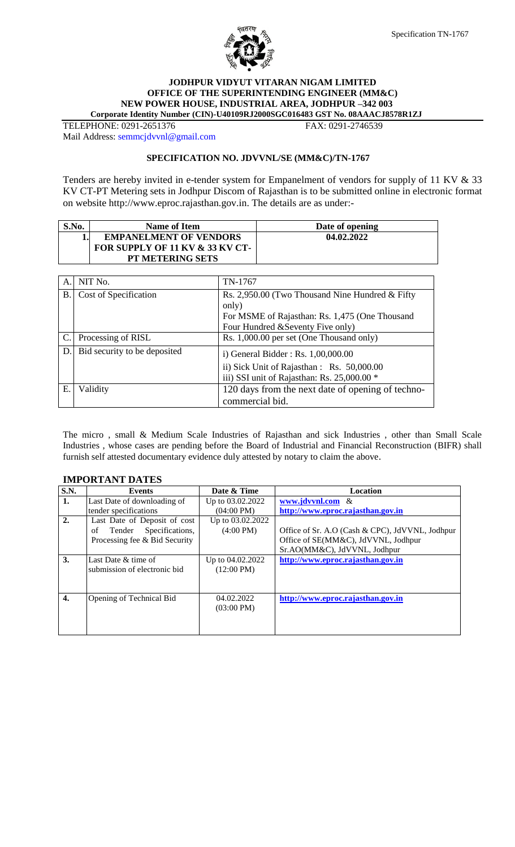



#### **JODHPUR VIDYUT VITARAN NIGAM LIMITED OFFICE OF THE SUPERINTENDING ENGINEER (MM&C) NEW POWER HOUSE, INDUSTRIAL AREA, JODHPUR –342 003 Corporate Identity Number (CIN)-U40109RJ2000SGC016483 GST No. 08AAACJ8578R1ZJ**

TELEPHONE: 0291-2651376 FAX: 0291-2746539

Mail Address: [semmcjdvvnl@gmail.com](mailto:semmcjdvvnl@gmail.com)

#### **SPECIFICATION NO. JDVVNL/SE (MM&C)/TN-1767**

Tenders are hereby invited in e-tender system for Empanelment of vendors for supply of 11 KV & 33 KV CT-PT Metering sets in Jodhpur Discom of Rajasthan is to be submitted online in electronic format on website http://www.eproc.rajasthan.gov.in. The details are as under:-

| S.No. | <b>Name of Item</b>             | Date of opening |
|-------|---------------------------------|-----------------|
|       | <b>EMPANELMENT OF VENDORS</b>   | 04.02.2022      |
|       | FOR SUPPLY OF 11 KV & 33 KV CT- |                 |
|       | <b>PT METERING SETS</b>         |                 |

| А.        | NIT No.                      | TN-1767                                           |
|-----------|------------------------------|---------------------------------------------------|
| <b>B.</b> | Cost of Specification        | Rs. 2,950.00 (Two Thousand Nine Hundred & Fifty   |
|           |                              | only)                                             |
|           |                              | For MSME of Rajasthan: Rs. 1,475 (One Thousand    |
|           |                              | Four Hundred & Seventy Five only)                 |
| C.        | Processing of RISL           | Rs. 1,000.00 per set (One Thousand only)          |
| D.        | Bid security to be deposited | i) General Bidder: Rs. 1,00,000.00                |
|           |                              | ii) Sick Unit of Rajasthan : Rs. 50,000.00        |
|           |                              | iii) SSI unit of Rajasthan: Rs. 25,000.00 *       |
| Ε.        | Validity                     | 120 days from the next date of opening of techno- |
|           |                              | commercial bid.                                   |

The micro , small & Medium Scale Industries of Rajasthan and sick Industries , other than Small Scale Industries , whose cases are pending before the Board of Industrial and Financial Reconstruction (BIFR) shall furnish self attested documentary evidence duly attested by notary to claim the above.

## **IMPORTANT DATES**

| S.N.             | <b>Events</b>                   | Date & Time          | <b>Location</b>                                 |
|------------------|---------------------------------|----------------------|-------------------------------------------------|
| 1.               | Last Date of downloading of     | Up to 03.02.2022     | www.jdvvnl.com &                                |
|                  | tender specifications           | $(04:00 \text{ PM})$ | http://www.eproc.rajasthan.gov.in               |
| $\overline{2}$ . | Last Date of Deposit of cost    | Up to 03.02.2022     |                                                 |
|                  | Specifications,<br>Tender<br>of | $(4:00 \text{ PM})$  | Office of Sr. A.O (Cash & CPC), JdVVNL, Jodhpur |
|                  | Processing fee & Bid Security   |                      | Office of SE(MM&C), JdVVNL, Jodhpur             |
|                  |                                 |                      | Sr.AO(MM&C), JdVVNL, Jodhpur                    |
| 3.               | Last Date & time of             | Up to 04.02.2022     | http://www.eproc.rajasthan.gov.in               |
|                  | submission of electronic bid    | $(12:00 \text{ PM})$ |                                                 |
|                  |                                 |                      |                                                 |
|                  |                                 |                      |                                                 |
| 4.               | Opening of Technical Bid        | 04.02.2022           | http://www.eproc.rajasthan.gov.in               |
|                  |                                 | $(03:00 \text{ PM})$ |                                                 |
|                  |                                 |                      |                                                 |
|                  |                                 |                      |                                                 |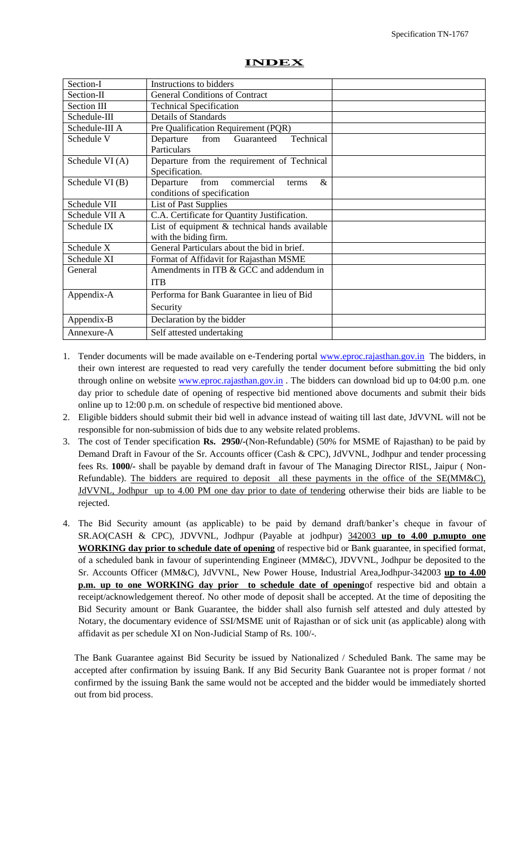| ID. |  |
|-----|--|

| Section-I       | Instructions to bidders                          |  |
|-----------------|--------------------------------------------------|--|
| Section-II      | <b>General Conditions of Contract</b>            |  |
| Section III     | <b>Technical Specification</b>                   |  |
| Schedule-III    | <b>Details of Standards</b>                      |  |
| Schedule-III A  | Pre Qualification Requirement (PQR)              |  |
| Schedule V      | Technical<br>Departure<br>from<br>Guaranteed     |  |
|                 | Particulars                                      |  |
| Schedule VI (A) | Departure from the requirement of Technical      |  |
|                 | Specification.                                   |  |
| Schedule VI (B) | $\&$<br>from<br>Departure<br>commercial<br>terms |  |
|                 | conditions of specification                      |  |
| Schedule VII    | <b>List of Past Supplies</b>                     |  |
| Schedule VII A  | C.A. Certificate for Quantity Justification.     |  |
| Schedule IX     | List of equipment $&$ technical hands available  |  |
|                 | with the biding firm.                            |  |
| Schedule X      | General Particulars about the bid in brief.      |  |
| Schedule XI     | Format of Affidavit for Rajasthan MSME           |  |
| General         | Amendments in ITB & GCC and addendum in          |  |
|                 | <b>ITB</b>                                       |  |
| Appendix-A      | Performa for Bank Guarantee in lieu of Bid       |  |
|                 | Security                                         |  |
| Appendix-B      | Declaration by the bidder                        |  |
| Annexure-A      | Self attested undertaking                        |  |

- 1. Tender documents will be made available on e-Tendering portal [www.eproc.rajasthan.gov.in](http://www.eproc.rajasthan.gov.in/) The bidders, in their own interest are requested to read very carefully the tender document before submitting the bid only through online on website [www.eproc.rajasthan.gov.in](http://www.eproc.rajasthan.gov.in/) . The bidders can download bid up to 04:00 p.m. one day prior to schedule date of opening of respective bid mentioned above documents and submit their bids online up to 12:00 p.m. on schedule of respective bid mentioned above.
- 2. Eligible bidders should submit their bid well in advance instead of waiting till last date, JdVVNL will not be responsible for non-submission of bids due to any website related problems.
- 3. The cost of Tender specification **Rs. 2950/-**(Non-Refundable) (50% for MSME of Rajasthan) to be paid by Demand Draft in Favour of the Sr. Accounts officer (Cash & CPC), JdVVNL, Jodhpur and tender processing fees Rs. **1000/-** shall be payable by demand draft in favour of The Managing Director RISL, Jaipur ( Non-Refundable). The bidders are required to deposit all these payments in the office of the SE(MM&C), JdVVNL, Jodhpur up to 4.00 PM one day prior to date of tendering otherwise their bids are liable to be rejected.
- 4. The Bid Security amount (as applicable) to be paid by demand draft/banker"s cheque in favour of SR.AO(CASH & CPC), JDVVNL, Jodhpur (Payable at jodhpur) 342003 **up to 4.00 p.mupto one WORKING day prior to schedule date of opening** of respective bid or Bank guarantee, in specified format, of a scheduled bank in favour of superintending Engineer (MM&C), JDVVNL, Jodhpur be deposited to the Sr. Accounts Officer (MM&C), JdVVNL, New Power House, Industrial Area,Jodhpur-342003 **up to 4.00 p.m. up to one WORKING day prior to schedule date of opening**of respective bid and obtain a receipt/acknowledgement thereof. No other mode of deposit shall be accepted. At the time of depositing the Bid Security amount or Bank Guarantee, the bidder shall also furnish self attested and duly attested by Notary, the documentary evidence of SSI/MSME unit of Rajasthan or of sick unit (as applicable) along with affidavit as per schedule XI on Non-Judicial Stamp of Rs. 100/-.

The Bank Guarantee against Bid Security be issued by Nationalized / Scheduled Bank. The same may be accepted after confirmation by issuing Bank. If any Bid Security Bank Guarantee not is proper format / not confirmed by the issuing Bank the same would not be accepted and the bidder would be immediately shorted out from bid process.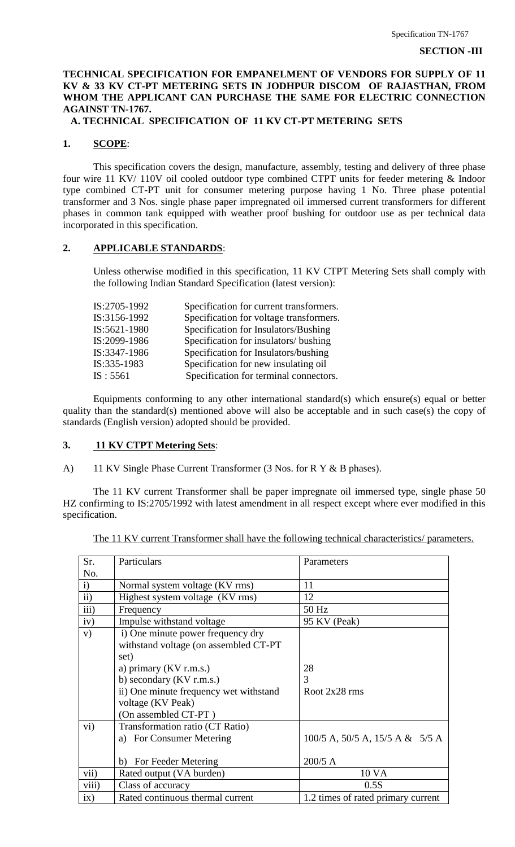## **TECHNICAL SPECIFICATION FOR EMPANELMENT OF VENDORS FOR SUPPLY OF 11 KV & 33 KV CT-PT METERING SETS IN JODHPUR DISCOM OF RAJASTHAN, FROM WHOM THE APPLICANT CAN PURCHASE THE SAME FOR ELECTRIC CONNECTION AGAINST TN-1767.**

## **A. TECHNICAL SPECIFICATION OF 11 KV CT-PT METERING SETS**

#### **1. SCOPE**:

This specification covers the design, manufacture, assembly, testing and delivery of three phase four wire 11 KV/ 110V oil cooled outdoor type combined CTPT units for feeder metering & Indoor type combined CT-PT unit for consumer metering purpose having 1 No. Three phase potential transformer and 3 Nos. single phase paper impregnated oil immersed current transformers for different phases in common tank equipped with weather proof bushing for outdoor use as per technical data incorporated in this specification.

#### **2. APPLICABLE STANDARDS**:

Unless otherwise modified in this specification, 11 KV CTPT Metering Sets shall comply with the following Indian Standard Specification (latest version):

| IS:2705-1992 | Specification for current transformers. |
|--------------|-----------------------------------------|
| IS:3156-1992 | Specification for voltage transformers. |
| IS:5621-1980 | Specification for Insulators/Bushing    |
| IS:2099-1986 | Specification for insulators/ bushing   |
| IS:3347-1986 | Specification for Insulators/bushing    |
| IS:335-1983  | Specification for new insulating oil    |
| IS : 5561    | Specification for terminal connectors.  |
|              |                                         |

Equipments conforming to any other international standard(s) which ensure(s) equal or better quality than the standard(s) mentioned above will also be acceptable and in such case(s) the copy of standards (English version) adopted should be provided.

#### **3. 11 KV CTPT Metering Sets**:

A) 11 KV Single Phase Current Transformer (3 Nos. for R Y & B phases).

The 11 KV current Transformer shall be paper impregnate oil immersed type, single phase 50 HZ confirming to IS:2705/1992 with latest amendment in all respect except where ever modified in this specification.

| Sr.             | Particulars                                                                                                                                                                                                                         | Parameters                                     |
|-----------------|-------------------------------------------------------------------------------------------------------------------------------------------------------------------------------------------------------------------------------------|------------------------------------------------|
| No.             |                                                                                                                                                                                                                                     |                                                |
| i)              | Normal system voltage (KV rms)                                                                                                                                                                                                      | 11                                             |
| $\mathbf{ii}$   | Highest system voltage (KV rms)                                                                                                                                                                                                     | 12                                             |
| iii)            | Frequency                                                                                                                                                                                                                           | 50 Hz                                          |
| iv)             | Impulse withstand voltage                                                                                                                                                                                                           | 95 KV (Peak)                                   |
| V)              | i) One minute power frequency dry<br>withstand voltage (on assembled CT-PT<br>set)<br>a) primary $(KV r.m.s.)$<br>b) secondary $(KV r.m.s.)$<br>ii) One minute frequency wet withstand<br>voltage (KV Peak)<br>(On assembled CT-PT) | 28<br>3<br>Root 2x28 rms                       |
| $\overline{vi}$ | Transformation ratio (CT Ratio)<br>a) For Consumer Metering<br>For Feeder Metering<br>b)                                                                                                                                            | $100/5$ A, 50/5 A, 15/5 A & 5/5 A<br>$200/5$ A |
| vii)            | Rated output (VA burden)                                                                                                                                                                                                            | 10 VA                                          |
| viii)           | Class of accuracy                                                                                                                                                                                                                   | 0.5S                                           |
| ix)             | Rated continuous thermal current                                                                                                                                                                                                    | 1.2 times of rated primary current             |

The 11 KV current Transformer shall have the following technical characteristics/ parameters.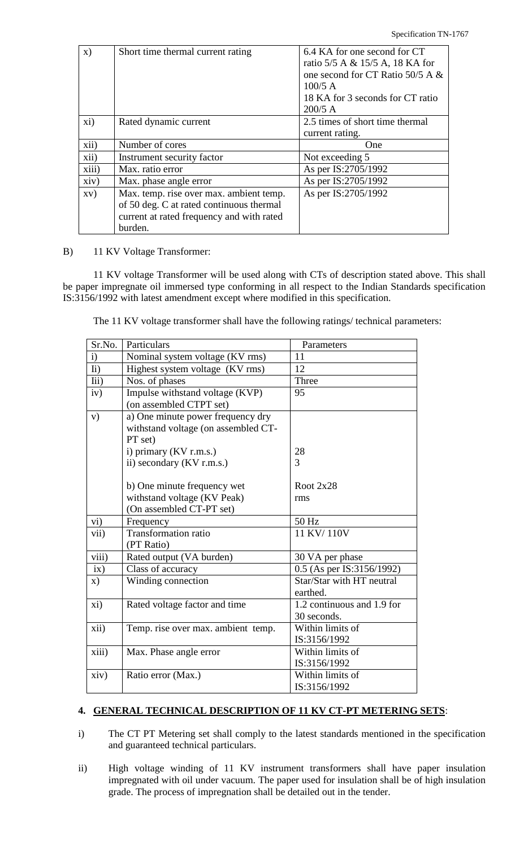| $\mathbf{x})$            | Short time thermal current rating                                                                                                           | 6.4 KA for one second for CT<br>ratio 5/5 A & 15/5 A, 18 KA for<br>one second for CT Ratio 50/5 A &<br>$100/5$ A<br>18 KA for 3 seconds for CT ratio<br>$200/5$ A |
|--------------------------|---------------------------------------------------------------------------------------------------------------------------------------------|-------------------------------------------------------------------------------------------------------------------------------------------------------------------|
| xi)                      | Rated dynamic current                                                                                                                       | 2.5 times of short time thermal<br>current rating.                                                                                                                |
| xii)                     | Number of cores                                                                                                                             | One                                                                                                                                                               |
| xii)                     | Instrument security factor                                                                                                                  | Not exceeding 5                                                                                                                                                   |
| xiii)                    | Max. ratio error                                                                                                                            | As per IS:2705/1992                                                                                                                                               |
| xiv)                     | Max. phase angle error                                                                                                                      | As per IS:2705/1992                                                                                                                                               |
| $\mathbf{X}(\mathbf{V})$ | Max. temp. rise over max. ambient temp.<br>of 50 deg. C at rated continuous thermal<br>current at rated frequency and with rated<br>burden. | As per IS:2705/1992                                                                                                                                               |

#### B) 11 KV Voltage Transformer:

11 KV voltage Transformer will be used along with CTs of description stated above. This shall be paper impregnate oil immersed type conforming in all respect to the Indian Standards specification IS:3156/1992 with latest amendment except where modified in this specification.

The 11 KV voltage transformer shall have the following ratings/ technical parameters:

| Sr.No.            | Particulars                         | Parameters                 |
|-------------------|-------------------------------------|----------------------------|
| $\mathbf{i}$      | Nominal system voltage (KV rms)     | 11                         |
| $\overline{h}$    | Highest system voltage (KV rms)     | 12                         |
| lii)              | Nos. of phases                      | Three                      |
| iv)               | Impulse withstand voltage (KVP)     | 95                         |
|                   | (on assembled CTPT set)             |                            |
| V)                | a) One minute power frequency dry   |                            |
|                   | withstand voltage (on assembled CT- |                            |
|                   | PT set)                             |                            |
|                   | i) primary (KV r.m.s.)              | 28                         |
|                   | ii) secondary (KV r.m.s.)           | 3                          |
|                   |                                     |                            |
|                   | b) One minute frequency wet         | Root $2x28$                |
|                   | withstand voltage (KV Peak)         | rms                        |
|                   | (On assembled CT-PT set)            |                            |
| vi)               | Frequency                           | 50 Hz                      |
| vii)              | <b>Transformation ratio</b>         | 11 KV/110V                 |
|                   | (PT Ratio)                          |                            |
| $\overline{viii}$ | Rated output (VA burden)            | 30 VA per phase            |
| ix)               | Class of accuracy                   | 0.5 (As per IS:3156/1992)  |
| X)                | Winding connection                  | Star/Star with HT neutral  |
|                   |                                     | earthed.                   |
| xi)               | Rated voltage factor and time       | 1.2 continuous and 1.9 for |
|                   |                                     | 30 seconds.                |
| xii)              | Temp. rise over max. ambient temp.  | Within limits of           |
|                   |                                     | IS:3156/1992               |
| xiii)             | Max. Phase angle error              | Within limits of           |
|                   |                                     | IS:3156/1992               |
| xiv)              | Ratio error (Max.)                  | Within limits of           |
|                   |                                     | IS:3156/1992               |

## **4. GENERAL TECHNICAL DESCRIPTION OF 11 KV CT-PT METERING SETS**:

- i) The CT PT Metering set shall comply to the latest standards mentioned in the specification and guaranteed technical particulars.
- ii) High voltage winding of 11 KV instrument transformers shall have paper insulation impregnated with oil under vacuum. The paper used for insulation shall be of high insulation grade. The process of impregnation shall be detailed out in the tender.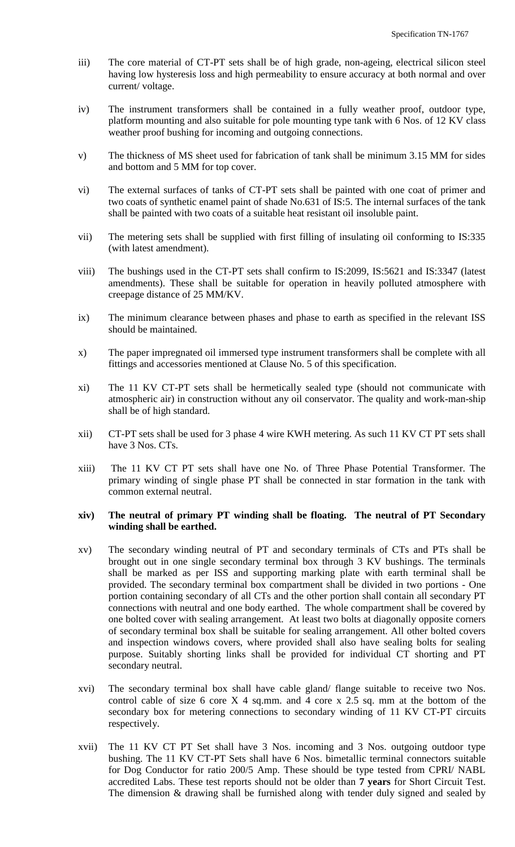- iii) The core material of CT-PT sets shall be of high grade, non-ageing, electrical silicon steel having low hysteresis loss and high permeability to ensure accuracy at both normal and over current/ voltage.
- iv) The instrument transformers shall be contained in a fully weather proof, outdoor type, platform mounting and also suitable for pole mounting type tank with 6 Nos. of 12 KV class weather proof bushing for incoming and outgoing connections.
- v) The thickness of MS sheet used for fabrication of tank shall be minimum 3.15 MM for sides and bottom and 5 MM for top cover.
- vi) The external surfaces of tanks of CT-PT sets shall be painted with one coat of primer and two coats of synthetic enamel paint of shade No.631 of IS:5. The internal surfaces of the tank shall be painted with two coats of a suitable heat resistant oil insoluble paint.
- vii) The metering sets shall be supplied with first filling of insulating oil conforming to IS:335 (with latest amendment).
- viii) The bushings used in the CT-PT sets shall confirm to IS:2099, IS:5621 and IS:3347 (latest amendments). These shall be suitable for operation in heavily polluted atmosphere with creepage distance of 25 MM/KV.
- ix) The minimum clearance between phases and phase to earth as specified in the relevant ISS should be maintained.
- x) The paper impregnated oil immersed type instrument transformers shall be complete with all fittings and accessories mentioned at Clause No. 5 of this specification.
- xi) The 11 KV CT-PT sets shall be hermetically sealed type (should not communicate with atmospheric air) in construction without any oil conservator. The quality and work-man-ship shall be of high standard.
- xii) CT-PT sets shall be used for 3 phase 4 wire KWH metering. As such 11 KV CT PT sets shall have 3 Nos. CTs.
- xiii) The 11 KV CT PT sets shall have one No. of Three Phase Potential Transformer. The primary winding of single phase PT shall be connected in star formation in the tank with common external neutral.

#### **xiv) The neutral of primary PT winding shall be floating. The neutral of PT Secondary winding shall be earthed.**

- xv) The secondary winding neutral of PT and secondary terminals of CTs and PTs shall be brought out in one single secondary terminal box through 3 KV bushings. The terminals shall be marked as per ISS and supporting marking plate with earth terminal shall be provided. The secondary terminal box compartment shall be divided in two portions - One portion containing secondary of all CTs and the other portion shall contain all secondary PT connections with neutral and one body earthed. The whole compartment shall be covered by one bolted cover with sealing arrangement. At least two bolts at diagonally opposite corners of secondary terminal box shall be suitable for sealing arrangement. All other bolted covers and inspection windows covers, where provided shall also have sealing bolts for sealing purpose. Suitably shorting links shall be provided for individual CT shorting and PT secondary neutral.
- xvi) The secondary terminal box shall have cable gland/ flange suitable to receive two Nos. control cable of size 6 core  $X$  4 sq.mm. and 4 core  $x$  2.5 sq. mm at the bottom of the secondary box for metering connections to secondary winding of 11 KV CT-PT circuits respectively.
- xvii) The 11 KV CT PT Set shall have 3 Nos. incoming and 3 Nos. outgoing outdoor type bushing. The 11 KV CT-PT Sets shall have 6 Nos. bimetallic terminal connectors suitable for Dog Conductor for ratio 200/5 Amp. These should be type tested from CPRI/ NABL accredited Labs. These test reports should not be older than **7 years** for Short Circuit Test. The dimension & drawing shall be furnished along with tender duly signed and sealed by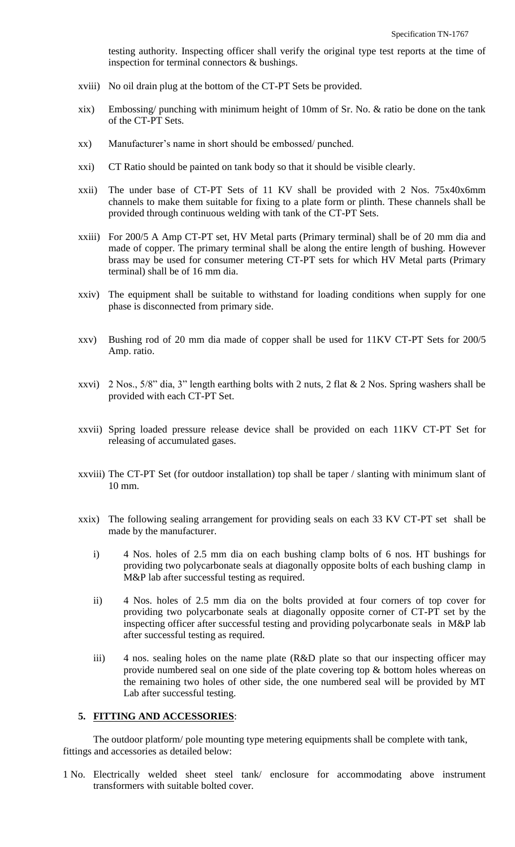testing authority. Inspecting officer shall verify the original type test reports at the time of inspection for terminal connectors & bushings.

- xviii) No oil drain plug at the bottom of the CT-PT Sets be provided.
- xix) Embossing/ punching with minimum height of 10mm of Sr. No. & ratio be done on the tank of the CT-PT Sets.
- xx) Manufacturer"s name in short should be embossed/ punched.
- xxi) CT Ratio should be painted on tank body so that it should be visible clearly.
- xxii) The under base of CT-PT Sets of 11 KV shall be provided with 2 Nos. 75x40x6mm channels to make them suitable for fixing to a plate form or plinth. These channels shall be provided through continuous welding with tank of the CT-PT Sets.
- xxiii) For 200/5 A Amp CT-PT set, HV Metal parts (Primary terminal) shall be of 20 mm dia and made of copper. The primary terminal shall be along the entire length of bushing. However brass may be used for consumer metering CT-PT sets for which HV Metal parts (Primary terminal) shall be of 16 mm dia.
- xxiv) The equipment shall be suitable to withstand for loading conditions when supply for one phase is disconnected from primary side.
- xxv) Bushing rod of 20 mm dia made of copper shall be used for 11KV CT-PT Sets for 200/5 Amp. ratio.
- xxvi) 2 Nos., 5/8" dia, 3" length earthing bolts with 2 nuts, 2 flat & 2 Nos. Spring washers shall be provided with each CT-PT Set.
- xxvii) Spring loaded pressure release device shall be provided on each 11KV CT-PT Set for releasing of accumulated gases.
- xxviii) The CT-PT Set (for outdoor installation) top shall be taper / slanting with minimum slant of 10 mm.
- xxix) The following sealing arrangement for providing seals on each 33 KV CT-PT set shall be made by the manufacturer.
	- i) 4 Nos. holes of 2.5 mm dia on each bushing clamp bolts of 6 nos. HT bushings for providing two polycarbonate seals at diagonally opposite bolts of each bushing clamp in M&P lab after successful testing as required.
	- ii) 4 Nos. holes of 2.5 mm dia on the bolts provided at four corners of top cover for providing two polycarbonate seals at diagonally opposite corner of CT-PT set by the inspecting officer after successful testing and providing polycarbonate seals in M&P lab after successful testing as required.
	- iii) 4 nos. sealing holes on the name plate (R&D plate so that our inspecting officer may provide numbered seal on one side of the plate covering top & bottom holes whereas on the remaining two holes of other side, the one numbered seal will be provided by MT Lab after successful testing.

#### **5. FITTING AND ACCESSORIES**:

The outdoor platform/ pole mounting type metering equipments shall be complete with tank, fittings and accessories as detailed below:

1 No. Electrically welded sheet steel tank/ enclosure for accommodating above instrument transformers with suitable bolted cover.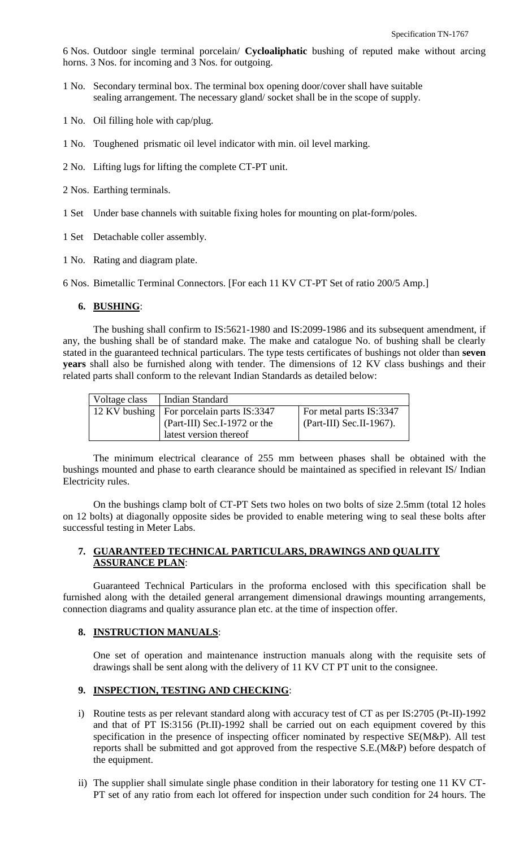6 Nos. Outdoor single terminal porcelain/ **Cycloaliphatic** bushing of reputed make without arcing horns. 3 Nos. for incoming and 3 Nos. for outgoing.

- 1 No. Secondary terminal box. The terminal box opening door/cover shall have suitable sealing arrangement. The necessary gland/ socket shall be in the scope of supply.
- 1 No. Oil filling hole with cap/plug.
- 1 No. Toughened prismatic oil level indicator with min. oil level marking.
- 2 No. Lifting lugs for lifting the complete CT-PT unit.
- 2 Nos. Earthing terminals.
- 1 Set Under base channels with suitable fixing holes for mounting on plat-form/poles.
- 1 Set Detachable coller assembly.
- 1 No. Rating and diagram plate.

6 Nos. Bimetallic Terminal Connectors. [For each 11 KV CT-PT Set of ratio 200/5 Amp.]

#### **6. BUSHING**:

The bushing shall confirm to IS:5621-1980 and IS:2099-1986 and its subsequent amendment, if any, the bushing shall be of standard make. The make and catalogue No. of bushing shall be clearly stated in the guaranteed technical particulars. The type tests certificates of bushings not older than **seven years** shall also be furnished along with tender. The dimensions of 12 KV class bushings and their related parts shall conform to the relevant Indian Standards as detailed below:

| Voltage class | Indian Standard                             |                          |
|---------------|---------------------------------------------|--------------------------|
|               | 12 KV bushing   For porcelain parts IS:3347 | For metal parts IS:3347  |
|               | (Part-III) Sec.I-1972 or the                | (Part-III) Sec.II-1967). |
|               | latest version thereof                      |                          |

The minimum electrical clearance of 255 mm between phases shall be obtained with the bushings mounted and phase to earth clearance should be maintained as specified in relevant IS/ Indian Electricity rules.

On the bushings clamp bolt of CT-PT Sets two holes on two bolts of size 2.5mm (total 12 holes on 12 bolts) at diagonally opposite sides be provided to enable metering wing to seal these bolts after successful testing in Meter Labs.

#### **7. GUARANTEED TECHNICAL PARTICULARS, DRAWINGS AND QUALITY ASSURANCE PLAN**:

Guaranteed Technical Particulars in the proforma enclosed with this specification shall be furnished along with the detailed general arrangement dimensional drawings mounting arrangements, connection diagrams and quality assurance plan etc. at the time of inspection offer.

#### **8. INSTRUCTION MANUALS**:

One set of operation and maintenance instruction manuals along with the requisite sets of drawings shall be sent along with the delivery of 11 KV CT PT unit to the consignee.

#### **9. INSPECTION, TESTING AND CHECKING**:

- i) Routine tests as per relevant standard along with accuracy test of CT as per IS:2705 (Pt-II)-1992 and that of PT IS:3156 (Pt.II)-1992 shall be carried out on each equipment covered by this specification in the presence of inspecting officer nominated by respective SE(M&P). All test reports shall be submitted and got approved from the respective S.E.(M&P) before despatch of the equipment.
- ii) The supplier shall simulate single phase condition in their laboratory for testing one 11 KV CT-PT set of any ratio from each lot offered for inspection under such condition for 24 hours. The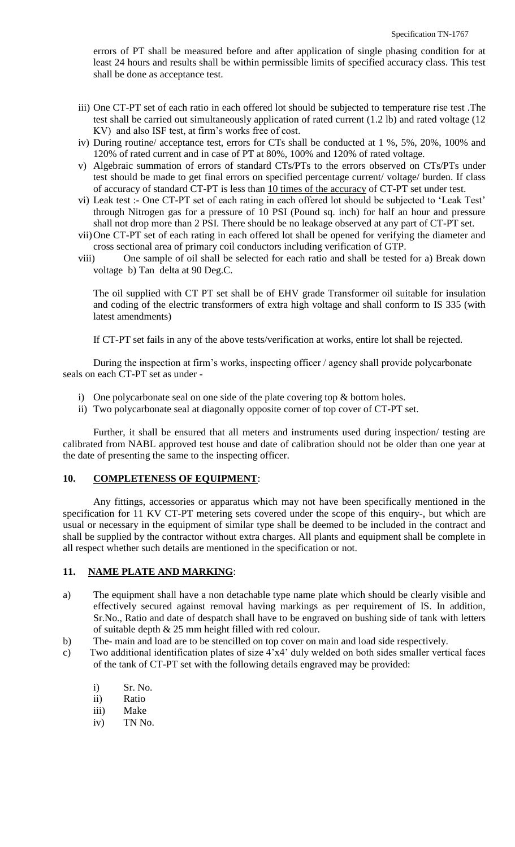errors of PT shall be measured before and after application of single phasing condition for at least 24 hours and results shall be within permissible limits of specified accuracy class. This test shall be done as acceptance test.

- iii) One CT-PT set of each ratio in each offered lot should be subjected to temperature rise test .The test shall be carried out simultaneously application of rated current (1.2 lb) and rated voltage (12 KV) and also ISF test, at firm"s works free of cost.
- iv) During routine/ acceptance test, errors for CTs shall be conducted at 1 %, 5%, 20%, 100% and 120% of rated current and in case of PT at 80%, 100% and 120% of rated voltage.
- v) Algebraic summation of errors of standard CTs/PTs to the errors observed on CTs/PTs under test should be made to get final errors on specified percentage current/ voltage/ burden. If class of accuracy of standard CT-PT is less than 10 times of the accuracy of CT-PT set under test.
- vi) Leak test :- One CT-PT set of each rating in each offered lot should be subjected to "Leak Test" through Nitrogen gas for a pressure of 10 PSI (Pound sq. inch) for half an hour and pressure shall not drop more than 2 PSI. There should be no leakage observed at any part of CT-PT set.
- vii)One CT-PT set of each rating in each offered lot shall be opened for verifying the diameter and cross sectional area of primary coil conductors including verification of GTP.
- viii) One sample of oil shall be selected for each ratio and shall be tested for a) Break down voltage b) Tan delta at 90 Deg.C.

The oil supplied with CT PT set shall be of EHV grade Transformer oil suitable for insulation and coding of the electric transformers of extra high voltage and shall conform to IS 335 (with latest amendments)

If CT-PT set fails in any of the above tests/verification at works, entire lot shall be rejected.

During the inspection at firm"s works, inspecting officer / agency shall provide polycarbonate seals on each CT-PT set as under -

- i) One polycarbonate seal on one side of the plate covering top & bottom holes.
- ii) Two polycarbonate seal at diagonally opposite corner of top cover of CT-PT set.

Further, it shall be ensured that all meters and instruments used during inspection/ testing are calibrated from NABL approved test house and date of calibration should not be older than one year at the date of presenting the same to the inspecting officer.

## **10. COMPLETENESS OF EQUIPMENT**:

Any fittings, accessories or apparatus which may not have been specifically mentioned in the specification for 11 KV CT-PT metering sets covered under the scope of this enquiry-, but which are usual or necessary in the equipment of similar type shall be deemed to be included in the contract and shall be supplied by the contractor without extra charges. All plants and equipment shall be complete in all respect whether such details are mentioned in the specification or not.

#### **11. NAME PLATE AND MARKING**:

- a) The equipment shall have a non detachable type name plate which should be clearly visible and effectively secured against removal having markings as per requirement of IS. In addition, Sr.No., Ratio and date of despatch shall have to be engraved on bushing side of tank with letters of suitable depth & 25 mm height filled with red colour.
- b) The- main and load are to be stencilled on top cover on main and load side respectively.
- c) Two additional identification plates of size 4"x4" duly welded on both sides smaller vertical faces of the tank of CT-PT set with the following details engraved may be provided:
	- i) Sr. No.
	- ii) Ratio
	- iii) Make
	- iv) TN No.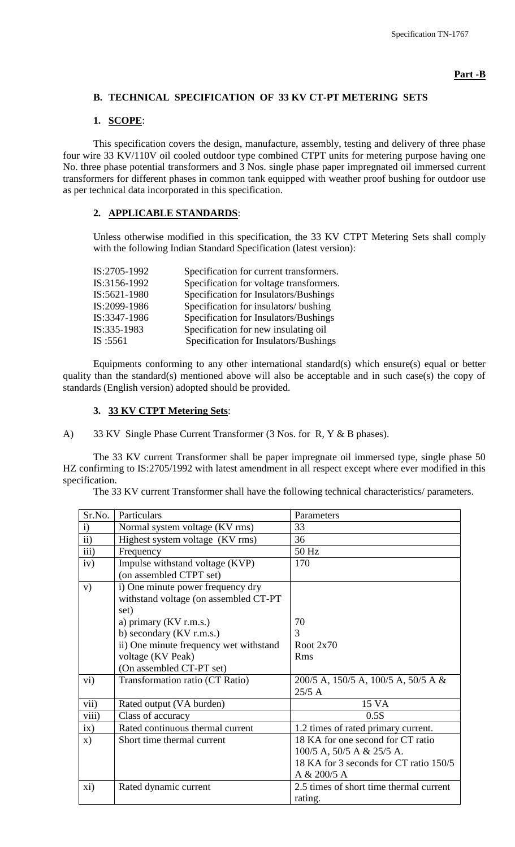# **B. TECHNICAL SPECIFICATION OF 33 KV CT-PT METERING SETS**

# **1. SCOPE**:

This specification covers the design, manufacture, assembly, testing and delivery of three phase four wire 33 KV/110V oil cooled outdoor type combined CTPT units for metering purpose having one No. three phase potential transformers and 3 Nos. single phase paper impregnated oil immersed current transformers for different phases in common tank equipped with weather proof bushing for outdoor use as per technical data incorporated in this specification.

## **2. APPLICABLE STANDARDS**:

Unless otherwise modified in this specification, the 33 KV CTPT Metering Sets shall comply with the following Indian Standard Specification (latest version):

| IS:2705-1992 | Specification for current transformers. |
|--------------|-----------------------------------------|
| IS:3156-1992 | Specification for voltage transformers. |
| IS:5621-1980 | Specification for Insulators/Bushings   |
| IS:2099-1986 | Specification for insulators/ bushing   |
| IS:3347-1986 | Specification for Insulators/Bushings   |
| IS:335-1983  | Specification for new insulating oil    |
| IS :5561     | Specification for Insulators/Bushings   |

Equipments conforming to any other international standard(s) which ensure(s) equal or better quality than the standard(s) mentioned above will also be acceptable and in such case(s) the copy of standards (English version) adopted should be provided.

# **3. 33 KV CTPT Metering Sets**:

A) 33 KV Single Phase Current Transformer (3 Nos. for R, Y & B phases).

The 33 KV current Transformer shall be paper impregnate oil immersed type, single phase 50 HZ confirming to IS:2705/1992 with latest amendment in all respect except where ever modified in this specification.

The 33 KV current Transformer shall have the following technical characteristics/ parameters.

| Sr.No.        | Particulars                                                                        | Parameters                                         |
|---------------|------------------------------------------------------------------------------------|----------------------------------------------------|
| $\mathbf{i}$  | Normal system voltage (KV rms)                                                     | 33                                                 |
| $\mathbf{ii}$ | Highest system voltage (KV rms)                                                    | 36                                                 |
| iii)          | Frequency                                                                          | 50 Hz                                              |
| iv)           | Impulse withstand voltage (KVP)<br>(on assembled CTPT set)                         | 170                                                |
| V)            | i) One minute power frequency dry<br>withstand voltage (on assembled CT-PT<br>set) |                                                    |
|               | a) primary (KV r.m.s.)                                                             | 70                                                 |
|               | b) secondary $(KV r.m.s.)$                                                         | 3                                                  |
|               | ii) One minute frequency wet withstand                                             | Root $2x70$                                        |
|               | voltage (KV Peak)                                                                  | <b>Rms</b>                                         |
|               | (On assembled CT-PT set)                                                           |                                                    |
| vi)           | Transformation ratio (CT Ratio)                                                    | 200/5 A, 150/5 A, 100/5 A, 50/5 A &<br>25/5A       |
| vii)          | Rated output (VA burden)                                                           | 15 VA                                              |
| viii)         | Class of accuracy                                                                  | 0.5S                                               |
| ix)           | Rated continuous thermal current                                                   | 1.2 times of rated primary current.                |
| $\mathbf{x})$ | Short time thermal current                                                         | 18 KA for one second for CT ratio                  |
|               |                                                                                    | $100/5$ A, $50/5$ A & $25/5$ A.                    |
|               |                                                                                    | 18 KA for 3 seconds for CT ratio 150/5             |
|               |                                                                                    | A & 200/5 A                                        |
| xi)           | Rated dynamic current                                                              | 2.5 times of short time thermal current<br>rating. |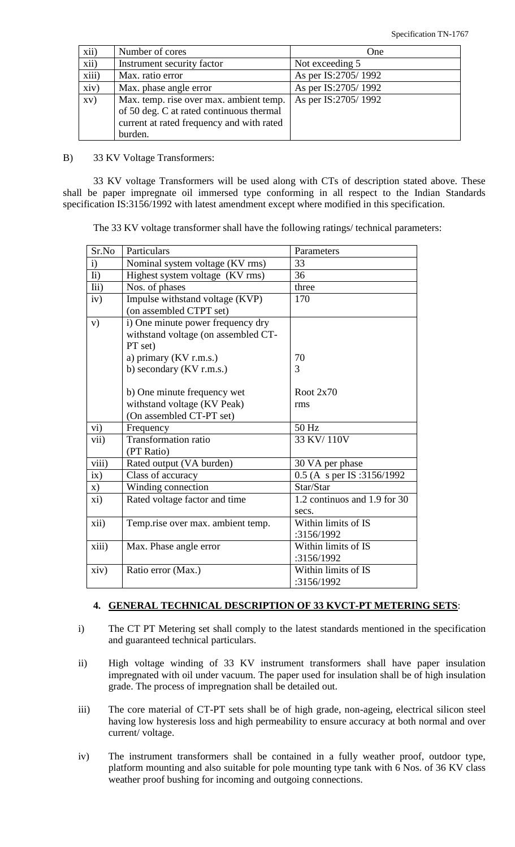| xii)  | Number of cores                                                                                                                             | One                 |
|-------|---------------------------------------------------------------------------------------------------------------------------------------------|---------------------|
| xii)  | Instrument security factor                                                                                                                  | Not exceeding 5     |
| xiii) | Max. ratio error                                                                                                                            | As per IS:2705/1992 |
| xiv)  | Max. phase angle error                                                                                                                      | As per IS:2705/1992 |
| XV)   | Max. temp. rise over max. ambient temp.<br>of 50 deg. C at rated continuous thermal<br>current at rated frequency and with rated<br>burden. | As per IS:2705/1992 |

B) 33 KV Voltage Transformers:

33 KV voltage Transformers will be used along with CTs of description stated above. These shall be paper impregnate oil immersed type conforming in all respect to the Indian Standards specification IS:3156/1992 with latest amendment except where modified in this specification.

The 33 KV voltage transformer shall have the following ratings/ technical parameters:

| Sr.No             | Particulars                         | Parameters                   |
|-------------------|-------------------------------------|------------------------------|
| i)                | Nominal system voltage (KV rms)     | 33                           |
| $\overline{I}$ i) | Highest system voltage (KV rms)     | 36                           |
| Iii)              | Nos. of phases                      | three                        |
| iv)               | Impulse withstand voltage (KVP)     | 170                          |
|                   | (on assembled CTPT set)             |                              |
| V)                | i) One minute power frequency dry   |                              |
|                   | withstand voltage (on assembled CT- |                              |
|                   | PT set)                             |                              |
|                   | a) primary (KV r.m.s.)              | 70                           |
|                   | b) secondary (KV r.m.s.)            | 3                            |
|                   |                                     |                              |
|                   | b) One minute frequency wet         | Root $2x70$                  |
|                   | withstand voltage (KV Peak)         | rms                          |
|                   | (On assembled CT-PT set)            |                              |
| vi)               | Frequency                           | 50 Hz                        |
| vii)              | <b>Transformation ratio</b>         | 33 KV/110V                   |
|                   | (PT Ratio)                          |                              |
| viii)             | Rated output (VA burden)            | 30 VA per phase              |
| ix)               | Class of accuracy                   | 0.5 (A s per IS :3156/1992)  |
| X)                | Winding connection                  | Star/Star                    |
| xi)               | Rated voltage factor and time       | 1.2 continuos and 1.9 for 30 |
|                   |                                     | secs.                        |
| xii)              | Temp.rise over max. ambient temp.   | Within limits of IS          |
|                   |                                     | :3156/1992                   |
| xiii)             | Max. Phase angle error              | Within limits of IS          |
|                   |                                     | :3156/1992                   |
| xiv)              | Ratio error (Max.)                  | Within limits of IS          |
|                   |                                     | :3156/1992                   |

#### **4. GENERAL TECHNICAL DESCRIPTION OF 33 KVCT-PT METERING SETS**:

- i) The CT PT Metering set shall comply to the latest standards mentioned in the specification and guaranteed technical particulars.
- ii) High voltage winding of 33 KV instrument transformers shall have paper insulation impregnated with oil under vacuum. The paper used for insulation shall be of high insulation grade. The process of impregnation shall be detailed out.
- iii) The core material of CT-PT sets shall be of high grade, non-ageing, electrical silicon steel having low hysteresis loss and high permeability to ensure accuracy at both normal and over current/ voltage.
- iv) The instrument transformers shall be contained in a fully weather proof, outdoor type, platform mounting and also suitable for pole mounting type tank with 6 Nos. of 36 KV class weather proof bushing for incoming and outgoing connections.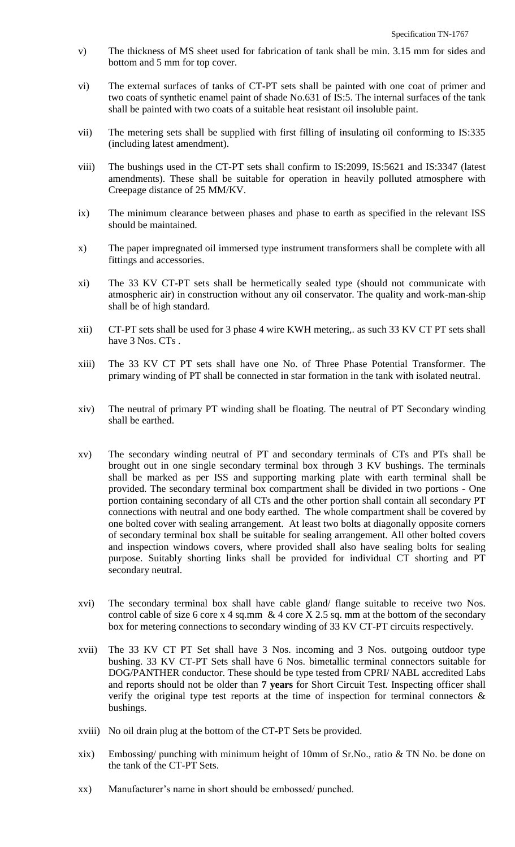- v) The thickness of MS sheet used for fabrication of tank shall be min. 3.15 mm for sides and bottom and 5 mm for top cover.
- vi) The external surfaces of tanks of CT-PT sets shall be painted with one coat of primer and two coats of synthetic enamel paint of shade No.631 of IS:5. The internal surfaces of the tank shall be painted with two coats of a suitable heat resistant oil insoluble paint.
- vii) The metering sets shall be supplied with first filling of insulating oil conforming to IS:335 (including latest amendment).
- viii) The bushings used in the CT-PT sets shall confirm to IS:2099, IS:5621 and IS:3347 (latest amendments). These shall be suitable for operation in heavily polluted atmosphere with Creepage distance of 25 MM/KV.
- ix) The minimum clearance between phases and phase to earth as specified in the relevant ISS should be maintained.
- x) The paper impregnated oil immersed type instrument transformers shall be complete with all fittings and accessories.
- xi) The 33 KV CT-PT sets shall be hermetically sealed type (should not communicate with atmospheric air) in construction without any oil conservator. The quality and work-man-ship shall be of high standard.
- xii) CT-PT sets shall be used for 3 phase 4 wire KWH metering,. as such 33 KV CT PT sets shall have 3 Nos. CTs.
- xiii) The 33 KV CT PT sets shall have one No. of Three Phase Potential Transformer. The primary winding of PT shall be connected in star formation in the tank with isolated neutral.
- xiv) The neutral of primary PT winding shall be floating. The neutral of PT Secondary winding shall be earthed.
- xv) The secondary winding neutral of PT and secondary terminals of CTs and PTs shall be brought out in one single secondary terminal box through 3 KV bushings. The terminals shall be marked as per ISS and supporting marking plate with earth terminal shall be provided. The secondary terminal box compartment shall be divided in two portions - One portion containing secondary of all CTs and the other portion shall contain all secondary PT connections with neutral and one body earthed. The whole compartment shall be covered by one bolted cover with sealing arrangement. At least two bolts at diagonally opposite corners of secondary terminal box shall be suitable for sealing arrangement. All other bolted covers and inspection windows covers, where provided shall also have sealing bolts for sealing purpose. Suitably shorting links shall be provided for individual CT shorting and PT secondary neutral.
- xvi) The secondary terminal box shall have cable gland/ flange suitable to receive two Nos. control cable of size 6 core x 4 sq.mm  $\&$  4 core X 2.5 sq. mm at the bottom of the secondary box for metering connections to secondary winding of 33 KV CT-PT circuits respectively.
- xvii) The 33 KV CT PT Set shall have 3 Nos. incoming and 3 Nos. outgoing outdoor type bushing. 33 KV CT-PT Sets shall have 6 Nos. bimetallic terminal connectors suitable for DOG/PANTHER conductor. These should be type tested from CPRI/ NABL accredited Labs and reports should not be older than **7 years** for Short Circuit Test. Inspecting officer shall verify the original type test reports at the time of inspection for terminal connectors & bushings.
- xviii) No oil drain plug at the bottom of the CT-PT Sets be provided.
- xix) Embossing/ punching with minimum height of 10mm of Sr.No., ratio & TN No. be done on the tank of the CT-PT Sets.
- xx) Manufacturer"s name in short should be embossed/ punched.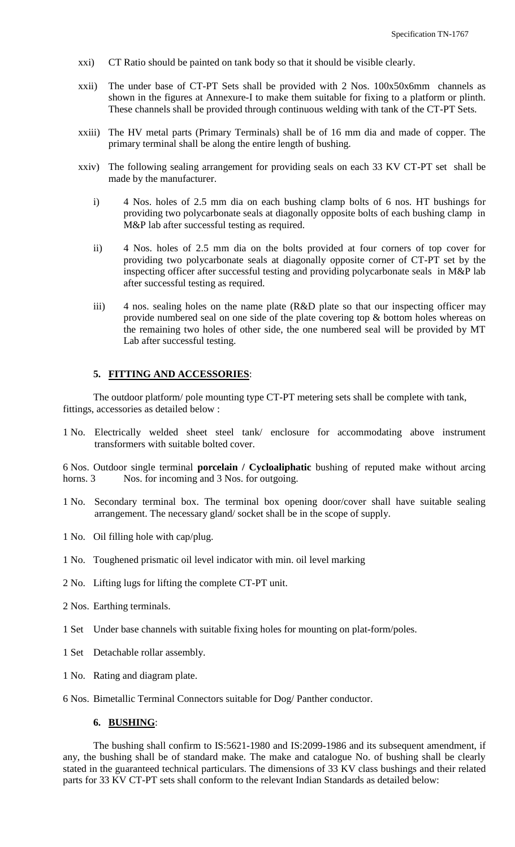- xxi) CT Ratio should be painted on tank body so that it should be visible clearly.
- xxii) The under base of CT-PT Sets shall be provided with 2 Nos. 100x50x6mm channels as shown in the figures at Annexure-I to make them suitable for fixing to a platform or plinth. These channels shall be provided through continuous welding with tank of the CT-PT Sets.
- xxiii) The HV metal parts (Primary Terminals) shall be of 16 mm dia and made of copper. The primary terminal shall be along the entire length of bushing.
- xxiv) The following sealing arrangement for providing seals on each 33 KV CT-PT set shall be made by the manufacturer.
	- i) 4 Nos. holes of 2.5 mm dia on each bushing clamp bolts of 6 nos. HT bushings for providing two polycarbonate seals at diagonally opposite bolts of each bushing clamp in M&P lab after successful testing as required.
	- ii) 4 Nos. holes of 2.5 mm dia on the bolts provided at four corners of top cover for providing two polycarbonate seals at diagonally opposite corner of CT-PT set by the inspecting officer after successful testing and providing polycarbonate seals in M&P lab after successful testing as required.
	- iii) 4 nos. sealing holes on the name plate (R&D plate so that our inspecting officer may provide numbered seal on one side of the plate covering top & bottom holes whereas on the remaining two holes of other side, the one numbered seal will be provided by MT Lab after successful testing.

#### **5. FITTING AND ACCESSORIES**:

The outdoor platform/ pole mounting type CT-PT metering sets shall be complete with tank, fittings, accessories as detailed below :

1 No. Electrically welded sheet steel tank/ enclosure for accommodating above instrument transformers with suitable bolted cover.

6 Nos. Outdoor single terminal **porcelain / Cycloaliphatic** bushing of reputed make without arcing horns. 3 Nos. for incoming and 3 Nos. for outgoing.

- 1 No. Secondary terminal box. The terminal box opening door/cover shall have suitable sealing arrangement. The necessary gland/ socket shall be in the scope of supply.
- 1 No. Oil filling hole with cap/plug.
- 1 No. Toughened prismatic oil level indicator with min. oil level marking
- 2 No. Lifting lugs for lifting the complete CT-PT unit.
- 2 Nos. Earthing terminals.
- 1 Set Under base channels with suitable fixing holes for mounting on plat-form/poles.
- 1 Set Detachable rollar assembly.
- 1 No. Rating and diagram plate.
- 6 Nos. Bimetallic Terminal Connectors suitable for Dog/ Panther conductor.

#### **6. BUSHING**:

The bushing shall confirm to IS:5621-1980 and IS:2099-1986 and its subsequent amendment, if any, the bushing shall be of standard make. The make and catalogue No. of bushing shall be clearly stated in the guaranteed technical particulars. The dimensions of 33 KV class bushings and their related parts for 33 KV CT-PT sets shall conform to the relevant Indian Standards as detailed below: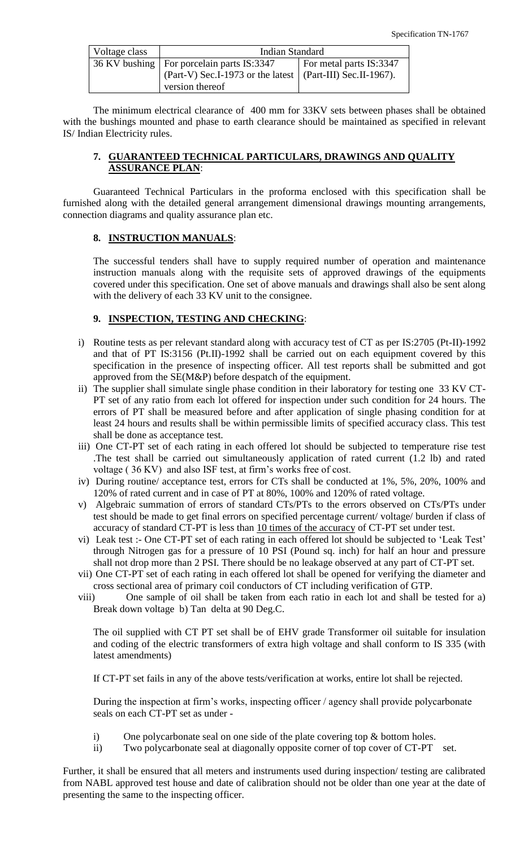| Voltage class | <b>Indian Standard</b>                                     |                         |  |  |
|---------------|------------------------------------------------------------|-------------------------|--|--|
|               | 36 KV bushing   For porcelain parts IS:3347                | For metal parts IS:3347 |  |  |
|               | (Part-V) Sec.I-1973 or the latest (Part-III) Sec.II-1967). |                         |  |  |
|               | version thereof                                            |                         |  |  |

The minimum electrical clearance of 400 mm for 33KV sets between phases shall be obtained with the bushings mounted and phase to earth clearance should be maintained as specified in relevant IS/ Indian Electricity rules.

## **7. GUARANTEED TECHNICAL PARTICULARS, DRAWINGS AND QUALITY ASSURANCE PLAN**:

Guaranteed Technical Particulars in the proforma enclosed with this specification shall be furnished along with the detailed general arrangement dimensional drawings mounting arrangements, connection diagrams and quality assurance plan etc.

## **8. INSTRUCTION MANUALS**:

The successful tenders shall have to supply required number of operation and maintenance instruction manuals along with the requisite sets of approved drawings of the equipments covered under this specification. One set of above manuals and drawings shall also be sent along with the delivery of each 33 KV unit to the consignee.

## **9. INSPECTION, TESTING AND CHECKING**:

- i) Routine tests as per relevant standard along with accuracy test of CT as per IS:2705 (Pt-II)-1992 and that of PT IS:3156 (Pt.II)-1992 shall be carried out on each equipment covered by this specification in the presence of inspecting officer. All test reports shall be submitted and got approved from the SE(M&P) before despatch of the equipment.
- ii) The supplier shall simulate single phase condition in their laboratory for testing one 33 KV CT-PT set of any ratio from each lot offered for inspection under such condition for 24 hours. The errors of PT shall be measured before and after application of single phasing condition for at least 24 hours and results shall be within permissible limits of specified accuracy class. This test shall be done as acceptance test.
- iii) One CT-PT set of each rating in each offered lot should be subjected to temperature rise test .The test shall be carried out simultaneously application of rated current (1.2 lb) and rated voltage ( 36 KV) and also ISF test, at firm"s works free of cost.
- iv) During routine/ acceptance test, errors for CTs shall be conducted at 1%, 5%, 20%, 100% and 120% of rated current and in case of PT at 80%, 100% and 120% of rated voltage.
- v) Algebraic summation of errors of standard CTs/PTs to the errors observed on CTs/PTs under test should be made to get final errors on specified percentage current/ voltage/ burden if class of accuracy of standard CT-PT is less than 10 times of the accuracy of CT-PT set under test.
- vi) Leak test :- One CT-PT set of each rating in each offered lot should be subjected to "Leak Test" through Nitrogen gas for a pressure of 10 PSI (Pound sq. inch) for half an hour and pressure shall not drop more than 2 PSI. There should be no leakage observed at any part of CT-PT set.
- vii) One CT-PT set of each rating in each offered lot shall be opened for verifying the diameter and cross sectional area of primary coil conductors of CT including verification of GTP.
- viii) One sample of oil shall be taken from each ratio in each lot and shall be tested for a) Break down voltage b) Tan delta at 90 Deg.C.

The oil supplied with CT PT set shall be of EHV grade Transformer oil suitable for insulation and coding of the electric transformers of extra high voltage and shall conform to IS 335 (with latest amendments)

If CT-PT set fails in any of the above tests/verification at works, entire lot shall be rejected.

During the inspection at firm"s works, inspecting officer / agency shall provide polycarbonate seals on each CT-PT set as under -

- i) One polycarbonate seal on one side of the plate covering top & bottom holes.
- ii) Two polycarbonate seal at diagonally opposite corner of top cover of CT-PT set.

Further, it shall be ensured that all meters and instruments used during inspection/ testing are calibrated from NABL approved test house and date of calibration should not be older than one year at the date of presenting the same to the inspecting officer.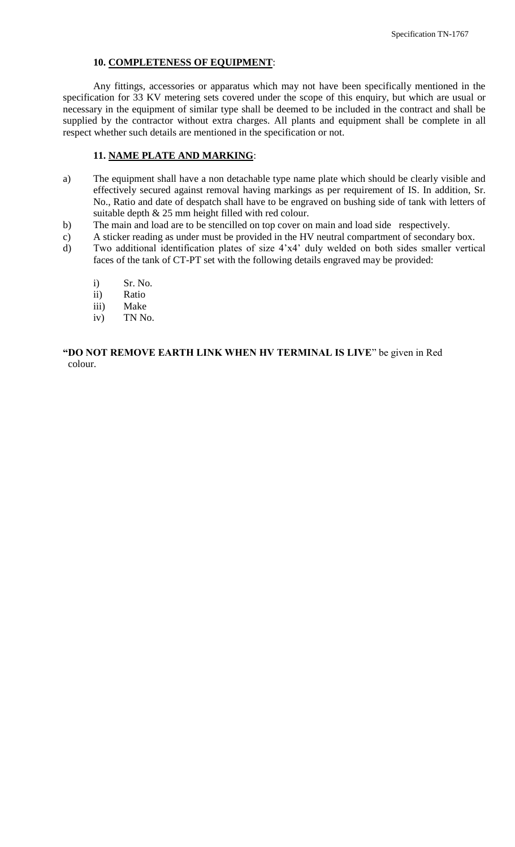## **10. COMPLETENESS OF EQUIPMENT**:

Any fittings, accessories or apparatus which may not have been specifically mentioned in the specification for 33 KV metering sets covered under the scope of this enquiry, but which are usual or necessary in the equipment of similar type shall be deemed to be included in the contract and shall be supplied by the contractor without extra charges. All plants and equipment shall be complete in all respect whether such details are mentioned in the specification or not.

## **11. NAME PLATE AND MARKING**:

- a) The equipment shall have a non detachable type name plate which should be clearly visible and effectively secured against removal having markings as per requirement of IS. In addition, Sr. No., Ratio and date of despatch shall have to be engraved on bushing side of tank with letters of suitable depth & 25 mm height filled with red colour.
- b) The main and load are to be stencilled on top cover on main and load side respectively.
- c) A sticker reading as under must be provided in the HV neutral compartment of secondary box.
- d) Two additional identification plates of size 4"x4" duly welded on both sides smaller vertical faces of the tank of CT-PT set with the following details engraved may be provided:
	- i) Sr. No.
	- ii) Ratio
	- iii) Make
	- iv) TN No.

**"DO NOT REMOVE EARTH LINK WHEN HV TERMINAL IS LIVE**" be given in Red colour.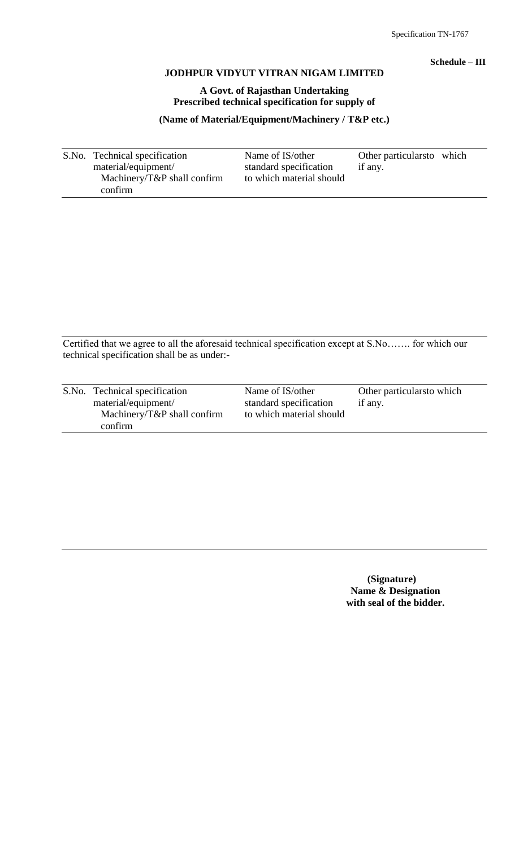## **Schedule – III**

#### **JODHPUR VIDYUT VITRAN NIGAM LIMITED**

## **A Govt. of Rajasthan Undertaking Prescribed technical specification for supply of**

## **(Name of Material/Equipment/Machinery / T&P etc.)**

S.No. Technical specification Name of IS/other Other particularsto which material/equipment/ standard specification if any. Machinery/T&P shall confirm to which material should confirm

Certified that we agree to all the aforesaid technical specification except at S.No……. for which our technical specification shall be as under:-

| S.No. Technical specification                          | Name of IS/other                                   | Other particulars to which |
|--------------------------------------------------------|----------------------------------------------------|----------------------------|
| material/equipment/<br>Machinery/ $T\&P$ shall confirm | standard specification<br>to which material should | if any.                    |
| confirm                                                |                                                    |                            |

 **(Signature) Name & Designation with seal of the bidder.**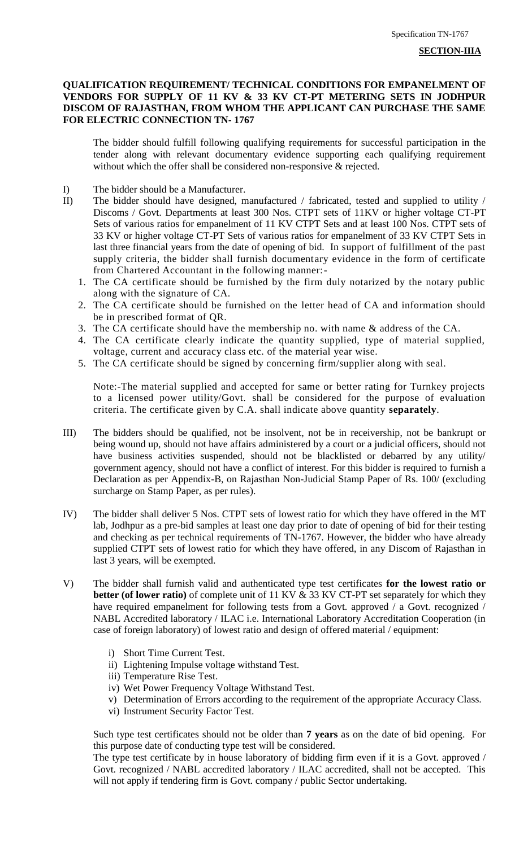#### **QUALIFICATION REQUIREMENT/ TECHNICAL CONDITIONS FOR EMPANELMENT OF VENDORS FOR SUPPLY OF 11 KV & 33 KV CT-PT METERING SETS IN JODHPUR DISCOM OF RAJASTHAN, FROM WHOM THE APPLICANT CAN PURCHASE THE SAME FOR ELECTRIC CONNECTION TN- 1767**

The bidder should fulfill following qualifying requirements for successful participation in the tender along with relevant documentary evidence supporting each qualifying requirement without which the offer shall be considered non-responsive & rejected.

- I) The bidder should be a Manufacturer.
- II) The bidder should have designed, manufactured / fabricated, tested and supplied to utility / Discoms / Govt. Departments at least 300 Nos. CTPT sets of 11KV or higher voltage CT-PT Sets of various ratios for empanelment of 11 KV CTPT Sets and at least 100 Nos. CTPT sets of 33 KV or higher voltage CT-PT Sets of various ratios for empanelment of 33 KV CTPT Sets in last three financial years from the date of opening of bid. In support of fulfillment of the past supply criteria, the bidder shall furnish documentary evidence in the form of certificate from Chartered Accountant in the following manner:-
	- 1. The CA certificate should be furnished by the firm duly notarized by the notary public along with the signature of CA.
	- 2. The CA certificate should be furnished on the letter head of CA and information should be in prescribed format of QR.
	- 3. The CA certificate should have the membership no. with name & address of the CA.
	- 4. The CA certificate clearly indicate the quantity supplied, type of material supplied, voltage, current and accuracy class etc. of the material year wise.
	- 5. The CA certificate should be signed by concerning firm/supplier along with seal.

Note:-The material supplied and accepted for same or better rating for Turnkey projects to a licensed power utility/Govt. shall be considered for the purpose of evaluation criteria. The certificate given by C.A. shall indicate above quantity **separately**.

- III) The bidders should be qualified, not be insolvent, not be in receivership, not be bankrupt or being wound up, should not have affairs administered by a court or a judicial officers, should not have business activities suspended, should not be blacklisted or debarred by any utility/ government agency, should not have a conflict of interest. For this bidder is required to furnish a Declaration as per Appendix-B, on Rajasthan Non-Judicial Stamp Paper of Rs. 100/ (excluding surcharge on Stamp Paper, as per rules).
- IV) The bidder shall deliver 5 Nos. CTPT sets of lowest ratio for which they have offered in the MT lab, Jodhpur as a pre-bid samples at least one day prior to date of opening of bid for their testing and checking as per technical requirements of TN-1767. However, the bidder who have already supplied CTPT sets of lowest ratio for which they have offered, in any Discom of Rajasthan in last 3 years, will be exempted.
- V) The bidder shall furnish valid and authenticated type test certificates **for the lowest ratio or better (of lower ratio)** of complete unit of 11 KV & 33 KV CT-PT set separately for which they have required empanelment for following tests from a Govt. approved / a Govt. recognized / NABL Accredited laboratory / ILAC i.e. International Laboratory Accreditation Cooperation (in case of foreign laboratory) of lowest ratio and design of offered material / equipment:
	- i) Short Time Current Test.
	- ii) Lightening Impulse voltage withstand Test.
	- iii) Temperature Rise Test.
	- iv) Wet Power Frequency Voltage Withstand Test.
	- v) Determination of Errors according to the requirement of the appropriate Accuracy Class.
	- vi) Instrument Security Factor Test.

Such type test certificates should not be older than **7 years** as on the date of bid opening. For this purpose date of conducting type test will be considered.

The type test certificate by in house laboratory of bidding firm even if it is a Govt. approved / Govt. recognized / NABL accredited laboratory / ILAC accredited, shall not be accepted. This will not apply if tendering firm is Govt. company / public Sector undertaking.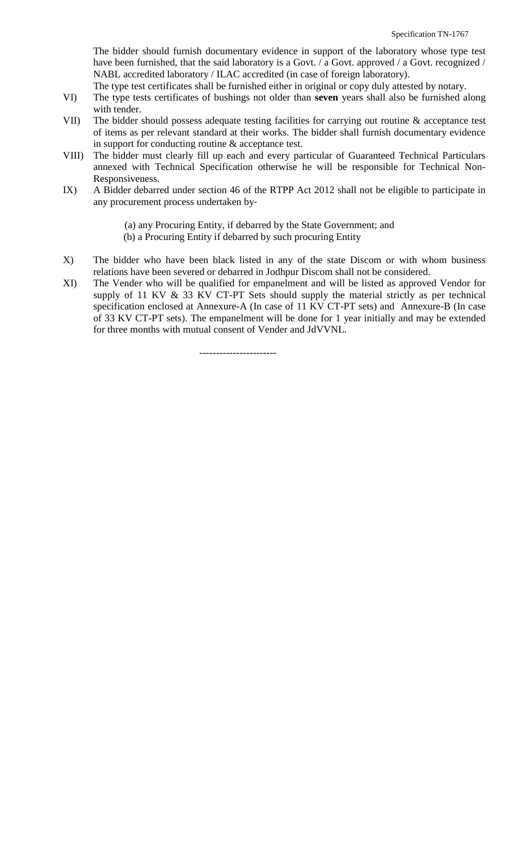The bidder should furnish documentary evidence in support of the laboratory whose type test have been furnished, that the said laboratory is a Govt. / a Govt. approved / a Govt. recognized / NABL accredited laboratory / ILAC accredited (in case of foreign laboratory).

- The type test certificates shall be furnished either in original or copy duly attested by notary.
- VI) The type tests certificates of bushings not older than **seven** years shall also be furnished along with tender.
- VII) The bidder should possess adequate testing facilities for carrying out routine & acceptance test of items as per relevant standard at their works. The bidder shall furnish documentary evidence in support for conducting routine & acceptance test.
- VIII) The bidder must clearly fill up each and every particular of Guaranteed Technical Particulars annexed with Technical Specification otherwise he will be responsible for Technical Non-Responsiveness.
- IX) A Bidder debarred under section 46 of the RTPP Act 2012 shall not be eligible to participate in any procurement process undertaken by‐
	- (a) any Procuring Entity, if debarred by the State Government; and
	- (b) a Procuring Entity if debarred by such procuring Entity
- X) The bidder who have been black listed in any of the state Discom or with whom business relations have been severed or debarred in Jodhpur Discom shall not be considered.
- XI) The Vender who will be qualified for empanelment and will be listed as approved Vendor for supply of 11 KV & 33 KV CT-PT Sets should supply the material strictly as per technical specification enclosed at Annexure-A (In case of 11 KV CT-PT sets) and Annexure-B (In case of 33 KV CT-PT sets). The empanelment will be done for 1 year initially and may be extended for three months with mutual consent of Vender and JdVVNL.

-----------------------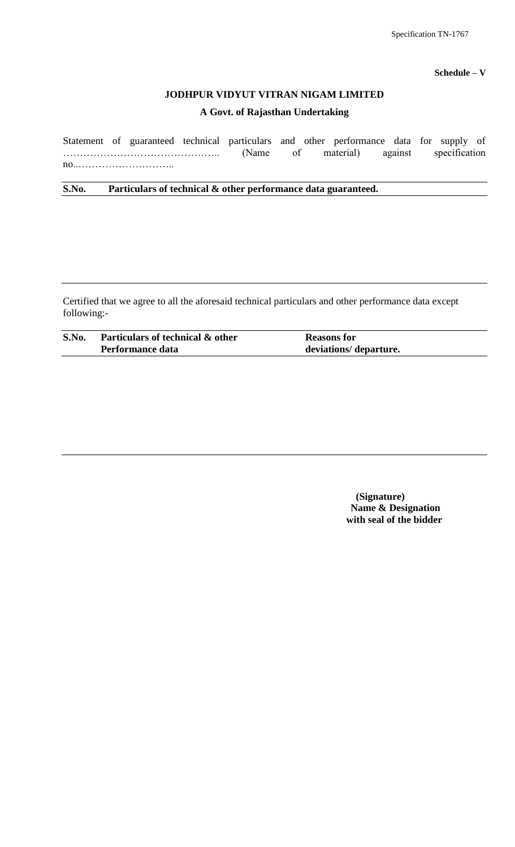#### **Schedule – V**

## **JODHPUR VIDYUT VITRAN NIGAM LIMITED**

#### **A Govt. of Rajasthan Undertaking**

Statement of guaranteed technical particulars and other performance data for supply of ……………………………………….. (Name of material) against specification no..………………………..

**S.No. Particulars of technical & other performance data guaranteed.**

Certified that we agree to all the aforesaid technical particulars and other performance data except following:-

| S.No. | Particulars of technical & other | <b>Reasons for</b>     |  |
|-------|----------------------------------|------------------------|--|
|       | Performance data                 | deviations/ departure. |  |

 **(Signature) Name & Designation with seal of the bidder**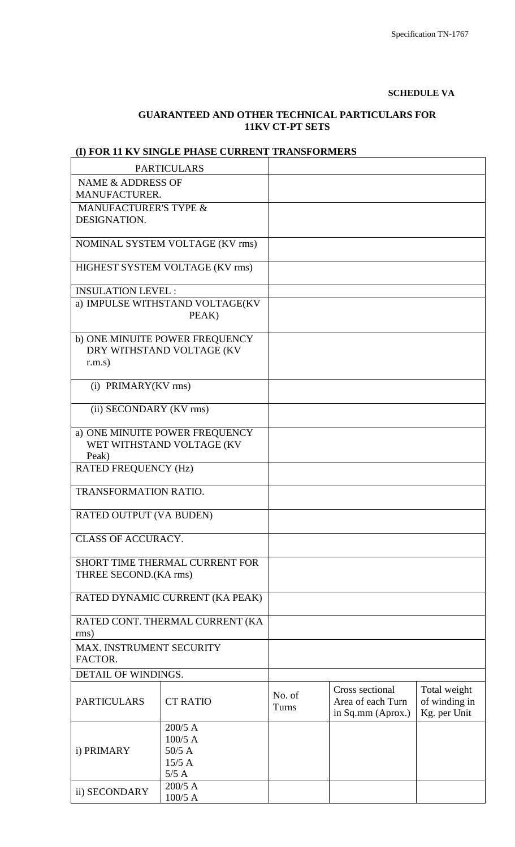#### **SCHEDULE VA**

# **GUARANTEED AND OTHER TECHNICAL PARTICULARS FOR 11KV CT-PT SETS**

# **(I) FOR 11 KV SINGLE PHASE CURRENT TRANSFORMERS**

|                                      | <b>PARTICULARS</b>              |        |                   |               |
|--------------------------------------|---------------------------------|--------|-------------------|---------------|
| <b>NAME &amp; ADDRESS OF</b>         |                                 |        |                   |               |
| <b>MANUFACTURER.</b>                 |                                 |        |                   |               |
| <b>MANUFACTURER'S TYPE &amp;</b>     |                                 |        |                   |               |
| DESIGNATION.                         |                                 |        |                   |               |
|                                      |                                 |        |                   |               |
|                                      | NOMINAL SYSTEM VOLTAGE (KV rms) |        |                   |               |
|                                      | HIGHEST SYSTEM VOLTAGE (KV rms) |        |                   |               |
|                                      |                                 |        |                   |               |
| <b>INSULATION LEVEL:</b>             |                                 |        |                   |               |
|                                      | a) IMPULSE WITHSTAND VOLTAGE(KV |        |                   |               |
|                                      | PEAK)                           |        |                   |               |
|                                      |                                 |        |                   |               |
|                                      | b) ONE MINUITE POWER FREQUENCY  |        |                   |               |
| r.m.s)                               | DRY WITHSTAND VOLTAGE (KV       |        |                   |               |
|                                      |                                 |        |                   |               |
| (i) PRIMARY(KV rms)                  |                                 |        |                   |               |
|                                      |                                 |        |                   |               |
| (ii) SECONDARY (KV rms)              |                                 |        |                   |               |
|                                      |                                 |        |                   |               |
|                                      | a) ONE MINUITE POWER FREQUENCY  |        |                   |               |
|                                      | WET WITHSTAND VOLTAGE (KV       |        |                   |               |
| Peak)<br><b>RATED FREQUENCY (Hz)</b> |                                 |        |                   |               |
|                                      |                                 |        |                   |               |
| TRANSFORMATION RATIO.                |                                 |        |                   |               |
|                                      |                                 |        |                   |               |
| RATED OUTPUT (VA BUDEN)              |                                 |        |                   |               |
|                                      |                                 |        |                   |               |
| CLASS OF ACCURACY.                   |                                 |        |                   |               |
|                                      | SHORT TIME THERMAL CURRENT FOR  |        |                   |               |
| THREE SECOND.(KA rms)                |                                 |        |                   |               |
|                                      |                                 |        |                   |               |
|                                      | RATED DYNAMIC CURRENT (KA PEAK) |        |                   |               |
|                                      |                                 |        |                   |               |
|                                      | RATED CONT. THERMAL CURRENT (KA |        |                   |               |
| rms)                                 |                                 |        |                   |               |
| MAX. INSTRUMENT SECURITY             |                                 |        |                   |               |
| FACTOR.                              |                                 |        |                   |               |
| DETAIL OF WINDINGS.                  |                                 |        |                   |               |
|                                      |                                 | No. of | Cross sectional   | Total weight  |
| <b>PARTICULARS</b>                   | <b>CT RATIO</b>                 | Turns  | Area of each Turn | of winding in |
|                                      |                                 |        | in Sq.mm (Aprox.) | Kg. per Unit  |
|                                      | $200/5$ A                       |        |                   |               |
|                                      | $100/5$ A                       |        |                   |               |
| i) PRIMARY                           | $50/5$ A                        |        |                   |               |
|                                      | 15/5A                           |        |                   |               |
|                                      | 5/5A<br>$200/5$ A               |        |                   |               |
| ii) SECONDARY                        | 100/5 A                         |        |                   |               |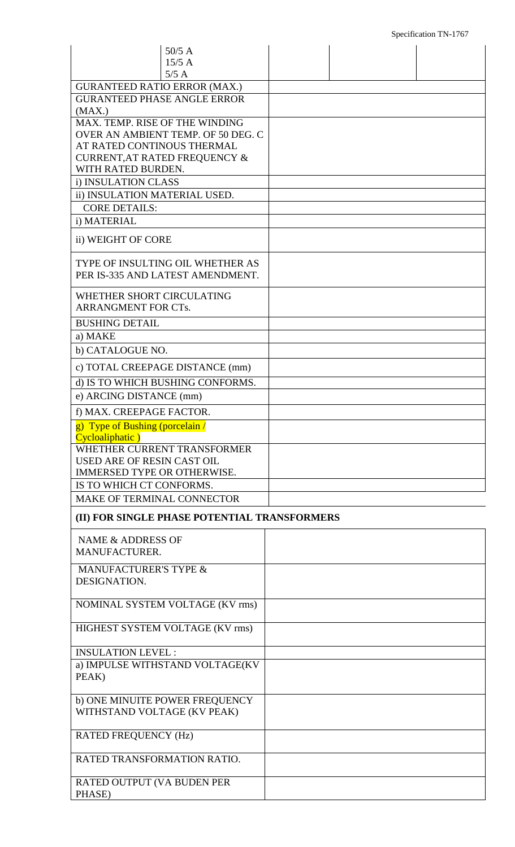| $50/5$ A<br>15/5A                                                         |  |
|---------------------------------------------------------------------------|--|
| 5/5A                                                                      |  |
| <b>GURANTEED RATIO ERROR (MAX.)</b><br><b>GURANTEED PHASE ANGLE ERROR</b> |  |
| (MAX.)                                                                    |  |
| MAX. TEMP. RISE OF THE WINDING                                            |  |
| OVER AN AMBIENT TEMP. OF 50 DEG. C                                        |  |
| AT RATED CONTINOUS THERMAL                                                |  |
| <b>CURRENT, AT RATED FREQUENCY &amp;</b>                                  |  |
| WITH RATED BURDEN.                                                        |  |
| i) INSULATION CLASS<br>ii) INSULATION MATERIAL USED.                      |  |
| <b>CORE DETAILS:</b>                                                      |  |
| i) MATERIAL                                                               |  |
|                                                                           |  |
| ii) WEIGHT OF CORE                                                        |  |
| TYPE OF INSULTING OIL WHETHER AS                                          |  |
| PER IS-335 AND LATEST AMENDMENT.                                          |  |
| WHETHER SHORT CIRCULATING                                                 |  |
| <b>ARRANGMENT FOR CTs.</b>                                                |  |
| <b>BUSHING DETAIL</b>                                                     |  |
| a) MAKE                                                                   |  |
| b) CATALOGUE NO.                                                          |  |
| c) TOTAL CREEPAGE DISTANCE (mm)                                           |  |
| d) IS TO WHICH BUSHING CONFORMS.                                          |  |
| e) ARCING DISTANCE (mm)                                                   |  |
|                                                                           |  |
| f) MAX. CREEPAGE FACTOR.                                                  |  |
| g) Type of Bushing (porcelain /<br>Cycloaliphatic)                        |  |
| WHETHER CURRENT TRANSFORMER                                               |  |
| USED ARE OF RESIN CAST OIL                                                |  |
| <b>IMMERSED TYPE OR OTHERWISE.</b>                                        |  |
| IS TO WHICH CT CONFORMS.                                                  |  |
| <b>MAKE OF TERMINAL CONNECTOR</b>                                         |  |
| (II) FOR SINGLE PHASE POTENTIAL TRANSFORMERS                              |  |
|                                                                           |  |
| NAME & ADDRESS OF                                                         |  |
| MANUFACTURER.                                                             |  |
| <b>MANUFACTURER'S TYPE &amp;</b>                                          |  |
| DESIGNATION.                                                              |  |
| NOMINAL SYSTEM VOLTAGE (KV rms)                                           |  |
|                                                                           |  |
| HIGHEST SYSTEM VOLTAGE (KV rms)                                           |  |
| <b>INSULATION LEVEL:</b>                                                  |  |
| a) IMPULSE WITHSTAND VOLTAGE(KV                                           |  |
| PEAK)                                                                     |  |
|                                                                           |  |
| b) ONE MINUITE POWER FREQUENCY                                            |  |
| WITHSTAND VOLTAGE (KV PEAK)                                               |  |
| <b>RATED FREQUENCY (Hz)</b>                                               |  |
|                                                                           |  |
| RATED TRANSFORMATION RATIO.                                               |  |
|                                                                           |  |
| RATED OUTPUT (VA BUDEN PER<br>PHASE)                                      |  |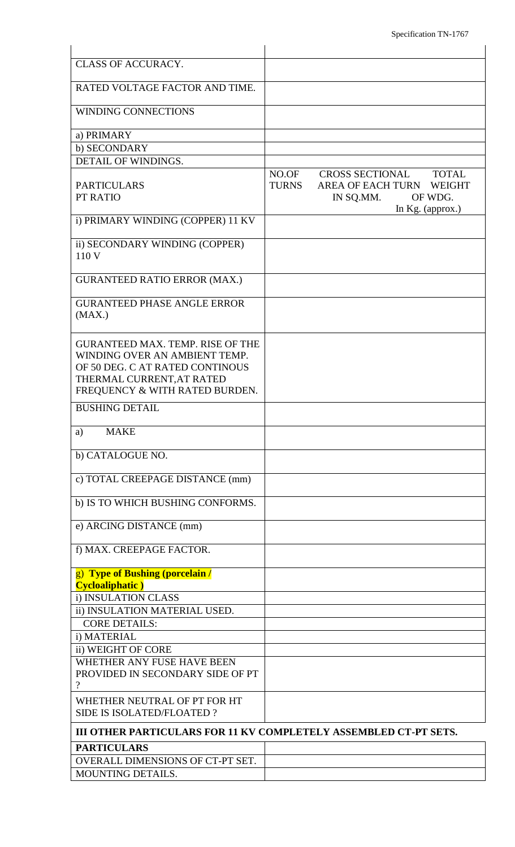| <b>CLASS OF ACCURACY.</b>                                                                                                                                                  |                       |                                                                                                         |  |
|----------------------------------------------------------------------------------------------------------------------------------------------------------------------------|-----------------------|---------------------------------------------------------------------------------------------------------|--|
| RATED VOLTAGE FACTOR AND TIME.                                                                                                                                             |                       |                                                                                                         |  |
| <b>WINDING CONNECTIONS</b>                                                                                                                                                 |                       |                                                                                                         |  |
|                                                                                                                                                                            |                       |                                                                                                         |  |
| a) PRIMARY<br>b) SECONDARY                                                                                                                                                 |                       |                                                                                                         |  |
| <b>DETAIL OF WINDINGS.</b>                                                                                                                                                 |                       |                                                                                                         |  |
| <b>PARTICULARS</b><br>PT RATIO                                                                                                                                             | NO.OF<br><b>TURNS</b> | CROSS SECTIONAL<br><b>TOTAL</b><br>AREA OF EACH TURN WEIGHT<br>IN SQ.MM.<br>OF WDG.<br>In Kg. (approx.) |  |
| i) PRIMARY WINDING (COPPER) 11 KV                                                                                                                                          |                       |                                                                                                         |  |
| ii) SECONDARY WINDING (COPPER)<br>110 V                                                                                                                                    |                       |                                                                                                         |  |
| <b>GURANTEED RATIO ERROR (MAX.)</b>                                                                                                                                        |                       |                                                                                                         |  |
| <b>GURANTEED PHASE ANGLE ERROR</b><br>(MAX.)                                                                                                                               |                       |                                                                                                         |  |
| <b>GURANTEED MAX. TEMP. RISE OF THE</b><br>WINDING OVER AN AMBIENT TEMP.<br>OF 50 DEG. C AT RATED CONTINOUS<br>THERMAL CURRENT, AT RATED<br>FREQUENCY & WITH RATED BURDEN. |                       |                                                                                                         |  |
| <b>BUSHING DETAIL</b>                                                                                                                                                      |                       |                                                                                                         |  |
| <b>MAKE</b><br>a)                                                                                                                                                          |                       |                                                                                                         |  |
| b) CATALOGUE NO.                                                                                                                                                           |                       |                                                                                                         |  |
| c) TOTAL CREEPAGE DISTANCE (mm)                                                                                                                                            |                       |                                                                                                         |  |
| b) IS TO WHICH BUSHING CONFORMS.                                                                                                                                           |                       |                                                                                                         |  |
| e) ARCING DISTANCE (mm)                                                                                                                                                    |                       |                                                                                                         |  |
| f) MAX. CREEPAGE FACTOR.                                                                                                                                                   |                       |                                                                                                         |  |
| g) Type of Bushing (porcelain /<br><b>Cycloaliphatic</b> )                                                                                                                 |                       |                                                                                                         |  |
| i) INSULATION CLASS                                                                                                                                                        |                       |                                                                                                         |  |
| ii) INSULATION MATERIAL USED.<br><b>CORE DETAILS:</b>                                                                                                                      |                       |                                                                                                         |  |
| i) MATERIAL                                                                                                                                                                |                       |                                                                                                         |  |
| ii) WEIGHT OF CORE                                                                                                                                                         |                       |                                                                                                         |  |
| WHETHER ANY FUSE HAVE BEEN<br>PROVIDED IN SECONDARY SIDE OF PT<br>$\gamma$                                                                                                 |                       |                                                                                                         |  |
| WHETHER NEUTRAL OF PT FOR HT<br><b>SIDE IS ISOLATED/FLOATED?</b>                                                                                                           |                       |                                                                                                         |  |
| III OTHER PARTICULARS FOR 11 KV COMPLETELY ASSEMBLED CT-PT SETS.                                                                                                           |                       |                                                                                                         |  |
| <b>PARTICULARS</b>                                                                                                                                                         |                       |                                                                                                         |  |
| OVERALL DIMENSIONS OF CT-PT SET.                                                                                                                                           |                       |                                                                                                         |  |
| <b>MOUNTING DETAILS.</b>                                                                                                                                                   |                       |                                                                                                         |  |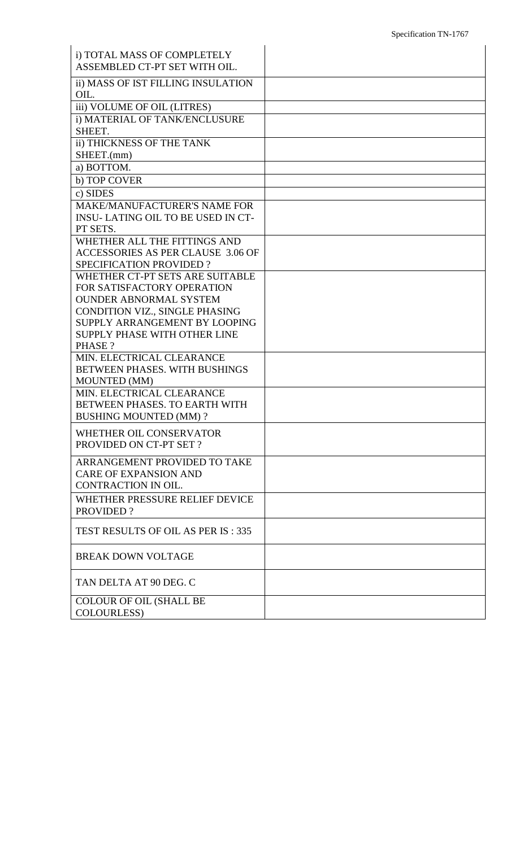| i) TOTAL MASS OF COMPLETELY              |  |
|------------------------------------------|--|
| ASSEMBLED CT-PT SET WITH OIL.            |  |
| ii) MASS OF IST FILLING INSULATION       |  |
| OIL.                                     |  |
| iii) VOLUME OF OIL (LITRES)              |  |
| i) MATERIAL OF TANK/ENCLUSURE            |  |
| SHEET.                                   |  |
| ii) THICKNESS OF THE TANK                |  |
| SHEET.(mm)                               |  |
| a) BOTTOM.                               |  |
| b) TOP COVER                             |  |
| c) SIDES                                 |  |
| <b>MAKE/MANUFACTURER'S NAME FOR</b>      |  |
| <b>INSU-LATING OIL TO BE USED IN CT-</b> |  |
| PT SETS.                                 |  |
| WHETHER ALL THE FITTINGS AND             |  |
| ACCESSORIES AS PER CLAUSE 3.06 OF        |  |
| <b>SPECIFICATION PROVIDED?</b>           |  |
| WHETHER CT-PT SETS ARE SUITABLE          |  |
| FOR SATISFACTORY OPERATION               |  |
| <b>OUNDER ABNORMAL SYSTEM</b>            |  |
| CONDITION VIZ., SINGLE PHASING           |  |
| SUPPLY ARRANGEMENT BY LOOPING            |  |
| SUPPLY PHASE WITH OTHER LINE             |  |
| PHASE?                                   |  |
| MIN. ELECTRICAL CLEARANCE                |  |
| BETWEEN PHASES. WITH BUSHINGS            |  |
| <b>MOUNTED (MM)</b>                      |  |
| MIN. ELECTRICAL CLEARANCE                |  |
| BETWEEN PHASES. TO EARTH WITH            |  |
| <b>BUSHING MOUNTED (MM) ?</b>            |  |
| WHETHER OIL CONSERVATOR                  |  |
| PROVIDED ON CT-PT SET?                   |  |
|                                          |  |
| ARRANGEMENT PROVIDED TO TAKE             |  |
| <b>CARE OF EXPANSION AND</b>             |  |
| CONTRACTION IN OIL.                      |  |
| WHETHER PRESSURE RELIEF DEVICE           |  |
| <b>PROVIDED?</b>                         |  |
| TEST RESULTS OF OIL AS PER IS: 335       |  |
|                                          |  |
| <b>BREAK DOWN VOLTAGE</b>                |  |
|                                          |  |
|                                          |  |
| TAN DELTA AT 90 DEG. C                   |  |
| <b>COLOUR OF OIL (SHALL BE</b>           |  |
| COLOURLESS)                              |  |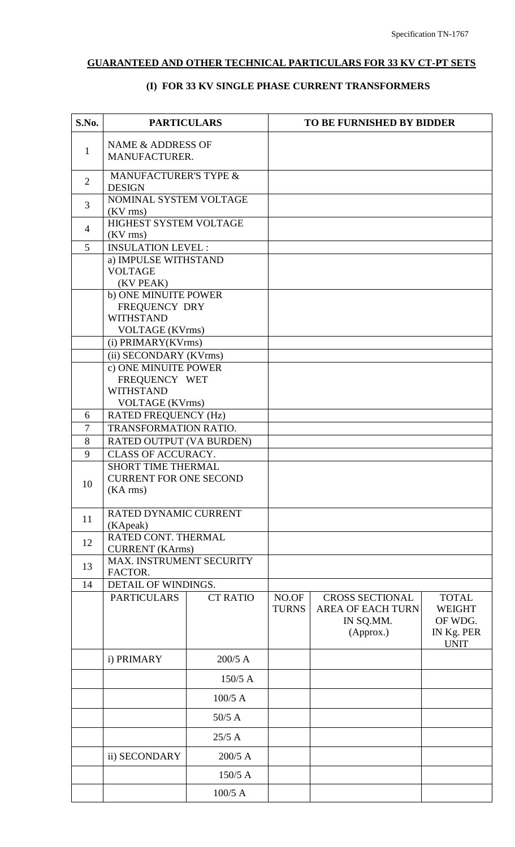# **GUARANTEED AND OTHER TECHNICAL PARTICULARS FOR 33 KV CT-PT SETS**

# **(I) FOR 33 KV SINGLE PHASE CURRENT TRANSFORMERS**

| S.No.               | <b>PARTICULARS</b>                                    |                                    |                       | <b>TO BE FURNISHED BY BIDDER</b>                                             |                                                                       |
|---------------------|-------------------------------------------------------|------------------------------------|-----------------------|------------------------------------------------------------------------------|-----------------------------------------------------------------------|
| $\mathbf{1}$        |                                                       | NAME & ADDRESS OF<br>MANUFACTURER. |                       |                                                                              |                                                                       |
| $\overline{2}$      | MANUFACTURER'S TYPE &<br><b>DESIGN</b>                |                                    |                       |                                                                              |                                                                       |
| 3                   | NOMINAL SYSTEM VOLTAGE                                |                                    |                       |                                                                              |                                                                       |
|                     | $(KV$ rms)<br>HIGHEST SYSTEM VOLTAGE                  |                                    |                       |                                                                              |                                                                       |
| $\overline{4}$      | $(KV$ rms)                                            |                                    |                       |                                                                              |                                                                       |
| 5                   | <b>INSULATION LEVEL:</b>                              |                                    |                       |                                                                              |                                                                       |
|                     | a) IMPULSE WITHSTAND                                  |                                    |                       |                                                                              |                                                                       |
|                     | <b>VOLTAGE</b><br>(KV PEAK)                           |                                    |                       |                                                                              |                                                                       |
|                     | b) ONE MINUITE POWER                                  |                                    |                       |                                                                              |                                                                       |
|                     | FREQUENCY DRY                                         |                                    |                       |                                                                              |                                                                       |
|                     | <b>WITHSTAND</b>                                      |                                    |                       |                                                                              |                                                                       |
|                     | <b>VOLTAGE</b> (KVrms)                                |                                    |                       |                                                                              |                                                                       |
|                     | (i) PRIMARY(KVrms)                                    |                                    |                       |                                                                              |                                                                       |
|                     | (ii) SECONDARY (KVrms)                                |                                    |                       |                                                                              |                                                                       |
|                     | c) ONE MINUITE POWER                                  |                                    |                       |                                                                              |                                                                       |
|                     | FREQUENCY WET                                         |                                    |                       |                                                                              |                                                                       |
|                     | <b>WITHSTAND</b>                                      |                                    |                       |                                                                              |                                                                       |
|                     | <b>VOLTAGE</b> (KVrms)                                |                                    |                       |                                                                              |                                                                       |
| 6<br>$\overline{7}$ | <b>RATED FREQUENCY (Hz)</b><br>TRANSFORMATION RATIO.  |                                    |                       |                                                                              |                                                                       |
| 8                   |                                                       |                                    |                       |                                                                              |                                                                       |
| 9                   | RATED OUTPUT (VA BURDEN)<br><b>CLASS OF ACCURACY.</b> |                                    |                       |                                                                              |                                                                       |
|                     | <b>SHORT TIME THERMAL</b>                             |                                    |                       |                                                                              |                                                                       |
|                     | <b>CURRENT FOR ONE SECOND</b>                         |                                    |                       |                                                                              |                                                                       |
| 10                  | (KA rms)                                              |                                    |                       |                                                                              |                                                                       |
|                     |                                                       |                                    |                       |                                                                              |                                                                       |
| 11                  | RATED DYNAMIC CURRENT                                 |                                    |                       |                                                                              |                                                                       |
|                     | (KApeak)                                              |                                    |                       |                                                                              |                                                                       |
| 12                  | RATED CONT. THERMAL<br><b>CURRENT</b> (KArms)         |                                    |                       |                                                                              |                                                                       |
|                     | <b>MAX. INSTRUMENT SECURITY</b>                       |                                    |                       |                                                                              |                                                                       |
| 13                  | FACTOR.                                               |                                    |                       |                                                                              |                                                                       |
| 14                  | DETAIL OF WINDINGS.                                   |                                    |                       |                                                                              |                                                                       |
|                     | <b>PARTICULARS</b>                                    | <b>CT RATIO</b>                    | NO.OF<br><b>TURNS</b> | <b>CROSS SECTIONAL</b><br><b>AREA OF EACH TURN</b><br>IN SQ.MM.<br>(Approx.) | <b>TOTAL</b><br><b>WEIGHT</b><br>OF WDG.<br>IN Kg. PER<br><b>UNIT</b> |
|                     | i) PRIMARY                                            | $200/5$ A                          |                       |                                                                              |                                                                       |
|                     |                                                       | $150/5$ A                          |                       |                                                                              |                                                                       |
|                     |                                                       | $100/5$ A                          |                       |                                                                              |                                                                       |
|                     |                                                       | $50/5$ A                           |                       |                                                                              |                                                                       |
|                     |                                                       | $25/5$ A                           |                       |                                                                              |                                                                       |
|                     | ii) SECONDARY                                         | $200/5$ A                          |                       |                                                                              |                                                                       |
|                     |                                                       | $150/5$ A                          |                       |                                                                              |                                                                       |
|                     |                                                       | $100/5$ A                          |                       |                                                                              |                                                                       |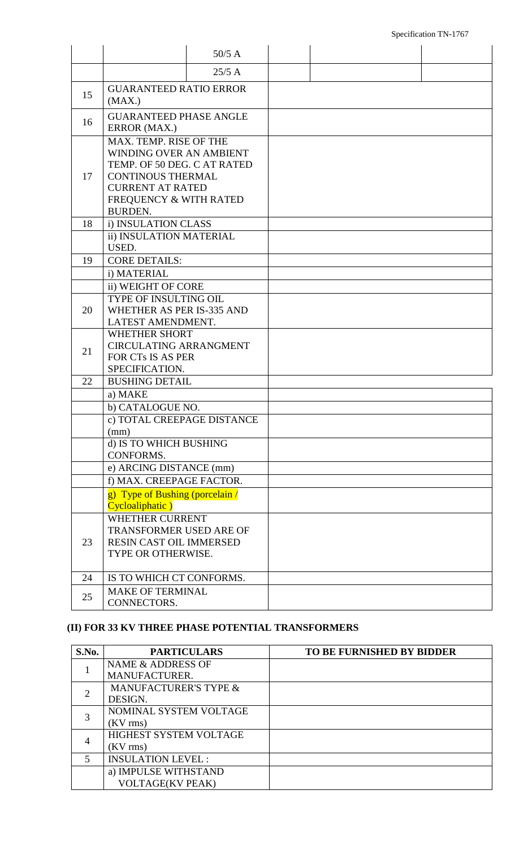#### Specification TN-1767

|    |                                                                                                                                                                                     | $50/5$ A |  |  |
|----|-------------------------------------------------------------------------------------------------------------------------------------------------------------------------------------|----------|--|--|
|    |                                                                                                                                                                                     | $25/5$ A |  |  |
| 15 | <b>GUARANTEED RATIO ERROR</b><br>(MAX.)                                                                                                                                             |          |  |  |
| 16 | <b>GUARANTEED PHASE ANGLE</b><br>ERROR (MAX.)                                                                                                                                       |          |  |  |
| 17 | MAX. TEMP. RISE OF THE<br>WINDING OVER AN AMBIENT<br>TEMP. OF 50 DEG. C AT RATED<br><b>CONTINOUS THERMAL</b><br><b>CURRENT AT RATED</b><br>FREQUENCY & WITH RATED<br><b>BURDEN.</b> |          |  |  |
| 18 | i) INSULATION CLASS                                                                                                                                                                 |          |  |  |
|    | ii) INSULATION MATERIAL<br>USED.                                                                                                                                                    |          |  |  |
| 19 | <b>CORE DETAILS:</b>                                                                                                                                                                |          |  |  |
|    | i) MATERIAL                                                                                                                                                                         |          |  |  |
|    | ii) WEIGHT OF CORE                                                                                                                                                                  |          |  |  |
| 20 | TYPE OF INSULTING OIL<br>WHETHER AS PER IS-335 AND<br>LATEST AMENDMENT.                                                                                                             |          |  |  |
| 21 | <b>WHETHER SHORT</b><br><b>CIRCULATING ARRANGMENT</b><br>FOR CTs IS AS PER<br>SPECIFICATION.                                                                                        |          |  |  |
| 22 | <b>BUSHING DETAIL</b>                                                                                                                                                               |          |  |  |
|    | a) MAKE                                                                                                                                                                             |          |  |  |
|    | b) CATALOGUE NO.                                                                                                                                                                    |          |  |  |
|    | c) TOTAL CREEPAGE DISTANCE                                                                                                                                                          |          |  |  |
|    | (mm)                                                                                                                                                                                |          |  |  |
|    | d) IS TO WHICH BUSHING                                                                                                                                                              |          |  |  |
|    | CONFORMS.<br>e) ARCING DISTANCE (mm)                                                                                                                                                |          |  |  |
|    | f) MAX. CREEPAGE FACTOR.                                                                                                                                                            |          |  |  |
|    | g) Type of Bushing (porcelain /                                                                                                                                                     |          |  |  |
|    | Cycloaliphatic)                                                                                                                                                                     |          |  |  |
| 23 | <b>WHETHER CURRENT</b><br><b>TRANSFORMER USED ARE OF</b><br>RESIN CAST OIL IMMERSED<br>TYPE OR OTHERWISE.                                                                           |          |  |  |
| 24 | IS TO WHICH CT CONFORMS.                                                                                                                                                            |          |  |  |
| 25 | <b>MAKE OF TERMINAL</b><br>CONNECTORS.                                                                                                                                              |          |  |  |

# **(II) FOR 33 KV THREE PHASE POTENTIAL TRANSFORMERS**

| S.No. | <b>PARTICULARS</b>               | TO BE FURNISHED BY BIDDER |
|-------|----------------------------------|---------------------------|
|       | NAME & ADDRESS OF                |                           |
|       | MANUFACTURER.                    |                           |
|       | <b>MANUFACTURER'S TYPE &amp;</b> |                           |
|       | DESIGN.                          |                           |
|       | NOMINAL SYSTEM VOLTAGE           |                           |
|       | $(KV$ rms)                       |                           |
|       | HIGHEST SYSTEM VOLTAGE           |                           |
|       | $(KV$ rms)                       |                           |
|       | <b>INSULATION LEVEL:</b>         |                           |
|       | a) IMPULSE WITHSTAND             |                           |
|       | <b>VOLTAGE(KV PEAK)</b>          |                           |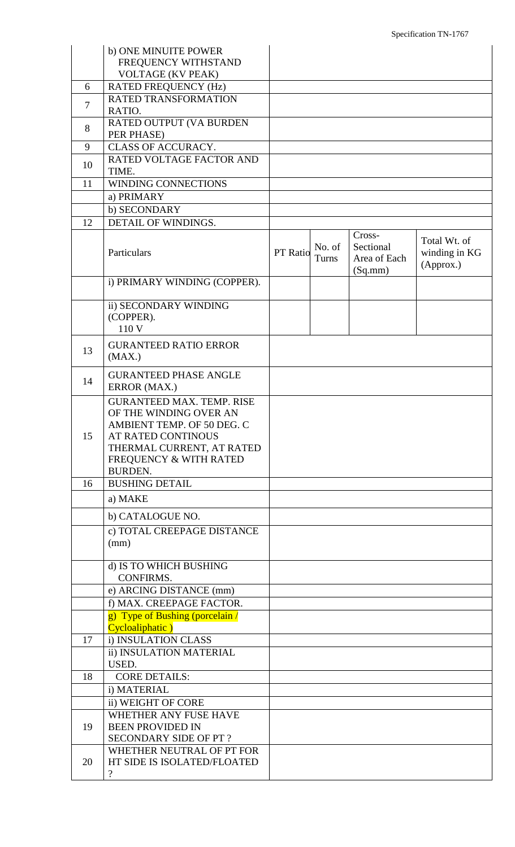|                | b) ONE MINUITE POWER<br>FREQUENCY WITHSTAND<br><b>VOLTAGE (KV PEAK)</b>                                                                                                                                   |          |                 |                                                |                                            |
|----------------|-----------------------------------------------------------------------------------------------------------------------------------------------------------------------------------------------------------|----------|-----------------|------------------------------------------------|--------------------------------------------|
| 6              | <b>RATED FREQUENCY (Hz)</b>                                                                                                                                                                               |          |                 |                                                |                                            |
| $\overline{7}$ | RATED TRANSFORMATION<br>RATIO.                                                                                                                                                                            |          |                 |                                                |                                            |
| 8              | RATED OUTPUT (VA BURDEN<br>PER PHASE)                                                                                                                                                                     |          |                 |                                                |                                            |
| 9              | <b>CLASS OF ACCURACY.</b>                                                                                                                                                                                 |          |                 |                                                |                                            |
| 10             | RATED VOLTAGE FACTOR AND<br>TIME.                                                                                                                                                                         |          |                 |                                                |                                            |
| 11             | WINDING CONNECTIONS                                                                                                                                                                                       |          |                 |                                                |                                            |
|                | a) PRIMARY                                                                                                                                                                                                |          |                 |                                                |                                            |
|                | b) SECONDARY                                                                                                                                                                                              |          |                 |                                                |                                            |
| 12             | DETAIL OF WINDINGS.                                                                                                                                                                                       |          |                 |                                                |                                            |
|                | Particulars                                                                                                                                                                                               | PT Ratio | No. of<br>Turns | Cross-<br>Sectional<br>Area of Each<br>(Sq.mm) | Total Wt. of<br>winding in KG<br>(Approx.) |
|                | i) PRIMARY WINDING (COPPER).                                                                                                                                                                              |          |                 |                                                |                                            |
|                | ii) SECONDARY WINDING<br>(COPPER).<br>110 V                                                                                                                                                               |          |                 |                                                |                                            |
| 13             | <b>GURANTEED RATIO ERROR</b><br>(MAX.)                                                                                                                                                                    |          |                 |                                                |                                            |
| 14             | <b>GURANTEED PHASE ANGLE</b><br>ERROR (MAX.)                                                                                                                                                              |          |                 |                                                |                                            |
| 15             | <b>GURANTEED MAX. TEMP. RISE</b><br>OF THE WINDING OVER AN<br>AMBIENT TEMP. OF 50 DEG. C<br><b>AT RATED CONTINOUS</b><br>THERMAL CURRENT, AT RATED<br><b>FREQUENCY &amp; WITH RATED</b><br><b>BURDEN.</b> |          |                 |                                                |                                            |
| 16             | <b>BUSHING DETAIL</b>                                                                                                                                                                                     |          |                 |                                                |                                            |
|                | a) MAKE                                                                                                                                                                                                   |          |                 |                                                |                                            |
|                | b) CATALOGUE NO.                                                                                                                                                                                          |          |                 |                                                |                                            |
|                | c) TOTAL CREEPAGE DISTANCE<br>(mm)                                                                                                                                                                        |          |                 |                                                |                                            |
|                | d) IS TO WHICH BUSHING<br><b>CONFIRMS.</b>                                                                                                                                                                |          |                 |                                                |                                            |
|                | e) ARCING DISTANCE (mm)                                                                                                                                                                                   |          |                 |                                                |                                            |
|                | f) MAX. CREEPAGE FACTOR.<br>g) Type of Bushing (porcelain /                                                                                                                                               |          |                 |                                                |                                            |
|                | Cycloaliphatic)                                                                                                                                                                                           |          |                 |                                                |                                            |
| 17             | i) INSULATION CLASS                                                                                                                                                                                       |          |                 |                                                |                                            |
|                | ii) INSULATION MATERIAL<br>USED.                                                                                                                                                                          |          |                 |                                                |                                            |
| 18             | <b>CORE DETAILS:</b>                                                                                                                                                                                      |          |                 |                                                |                                            |
|                | i) MATERIAL                                                                                                                                                                                               |          |                 |                                                |                                            |
|                | ii) WEIGHT OF CORE                                                                                                                                                                                        |          |                 |                                                |                                            |
|                | WHETHER ANY FUSE HAVE                                                                                                                                                                                     |          |                 |                                                |                                            |
| 19             | <b>BEEN PROVIDED IN</b>                                                                                                                                                                                   |          |                 |                                                |                                            |
|                | SECONDARY SIDE OF PT?<br>WHETHER NEUTRAL OF PT FOR                                                                                                                                                        |          |                 |                                                |                                            |
| 20             | HT SIDE IS ISOLATED/FLOATED<br>$\overline{?}$                                                                                                                                                             |          |                 |                                                |                                            |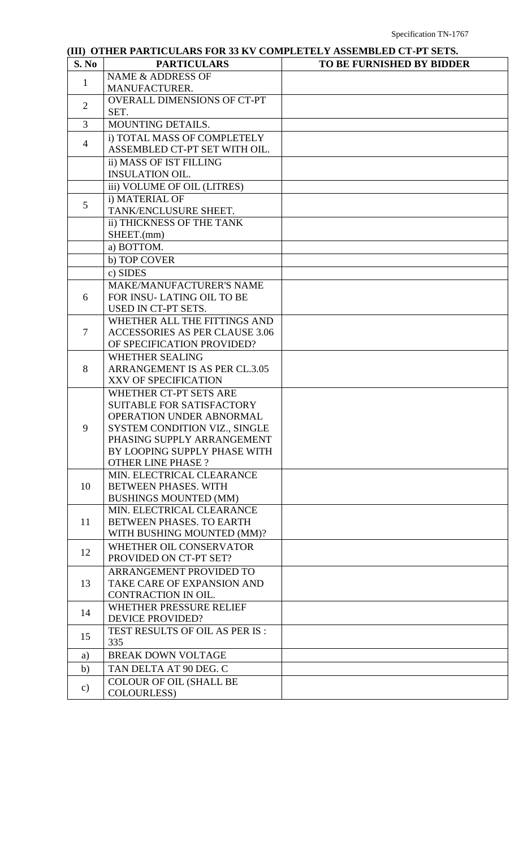| S. No          | <b>PARTICULARS</b>                                           | <b>TO BE FURNISHED BY BIDDER</b> |
|----------------|--------------------------------------------------------------|----------------------------------|
| $\mathbf{1}$   | <b>NAME &amp; ADDRESS OF</b>                                 |                                  |
|                | MANUFACTURER.                                                |                                  |
| $\overline{2}$ | <b>OVERALL DIMENSIONS OF CT-PT</b>                           |                                  |
|                | SET.                                                         |                                  |
| 3              | MOUNTING DETAILS.                                            |                                  |
|                | i) TOTAL MASS OF COMPLETELY                                  |                                  |
| $\overline{4}$ | ASSEMBLED CT-PT SET WITH OIL.                                |                                  |
|                | ii) MASS OF IST FILLING                                      |                                  |
|                | <b>INSULATION OIL.</b>                                       |                                  |
|                | iii) VOLUME OF OIL (LITRES)                                  |                                  |
|                | i) MATERIAL OF                                               |                                  |
| 5              | TANK/ENCLUSURE SHEET.                                        |                                  |
|                | ii) THICKNESS OF THE TANK                                    |                                  |
|                | SHEET.(mm)                                                   |                                  |
|                | a) BOTTOM.                                                   |                                  |
|                | b) TOP COVER                                                 |                                  |
|                | c) SIDES                                                     |                                  |
|                |                                                              |                                  |
| 6              | <b>MAKE/MANUFACTURER'S NAME</b><br>FOR INSU-LATING OIL TO BE |                                  |
|                | USED IN CT-PT SETS.                                          |                                  |
|                | WHETHER ALL THE FITTINGS AND                                 |                                  |
| 7              | <b>ACCESSORIES AS PER CLAUSE 3.06</b>                        |                                  |
|                | OF SPECIFICATION PROVIDED?                                   |                                  |
|                |                                                              |                                  |
|                | <b>WHETHER SEALING</b>                                       |                                  |
| 8              | ARRANGEMENT IS AS PER CL.3.05                                |                                  |
|                | XXV OF SPECIFICATION                                         |                                  |
|                | WHETHER CT-PT SETS ARE                                       |                                  |
|                | <b>SUITABLE FOR SATISFACTORY</b>                             |                                  |
|                | OPERATION UNDER ABNORMAL                                     |                                  |
| 9              | SYSTEM CONDITION VIZ., SINGLE                                |                                  |
|                | PHASING SUPPLY ARRANGEMENT<br>BY LOOPING SUPPLY PHASE WITH   |                                  |
|                | <b>OTHER LINE PHASE?</b>                                     |                                  |
|                | MIN. ELECTRICAL CLEARANCE                                    |                                  |
| 10             | <b>BETWEEN PHASES. WITH</b>                                  |                                  |
|                | <b>BUSHINGS MOUNTED (MM)</b>                                 |                                  |
|                | MIN. ELECTRICAL CLEARANCE                                    |                                  |
| 11             | BETWEEN PHASES. TO EARTH                                     |                                  |
|                | WITH BUSHING MOUNTED (MM)?                                   |                                  |
|                | WHETHER OIL CONSERVATOR                                      |                                  |
| 12             | PROVIDED ON CT-PT SET?                                       |                                  |
|                | ARRANGEMENT PROVIDED TO                                      |                                  |
| 13             | TAKE CARE OF EXPANSION AND                                   |                                  |
|                | CONTRACTION IN OIL.                                          |                                  |
|                | WHETHER PRESSURE RELIEF                                      |                                  |
| 14             | <b>DEVICE PROVIDED?</b>                                      |                                  |
|                | TEST RESULTS OF OIL AS PER IS :                              |                                  |
| 15             | 335                                                          |                                  |
|                | <b>BREAK DOWN VOLTAGE</b>                                    |                                  |
| a)             |                                                              |                                  |
| b)             | TAN DELTA AT 90 DEG. C                                       |                                  |
| $\mathbf{c})$  | <b>COLOUR OF OIL (SHALL BE</b>                               |                                  |
|                | COLOURLESS)                                                  |                                  |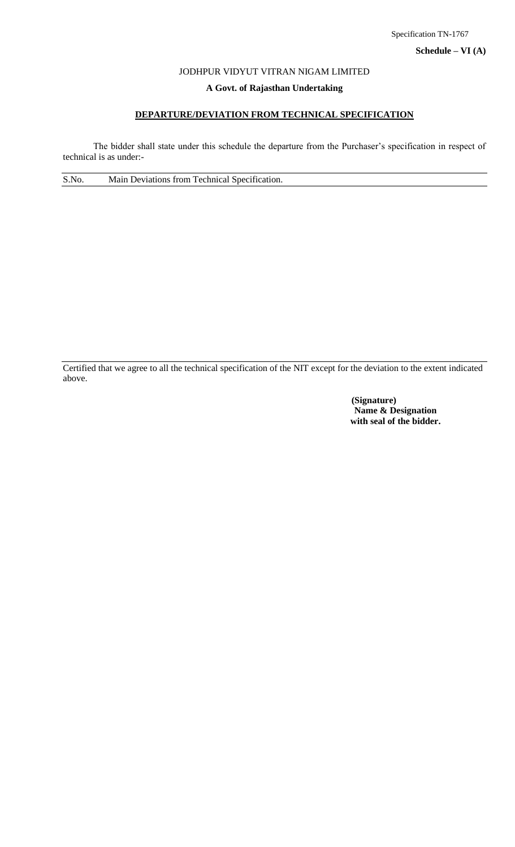## JODHPUR VIDYUT VITRAN NIGAM LIMITED

## **A Govt. of Rajasthan Undertaking**

## **DEPARTURE/DEVIATION FROM TECHNICAL SPECIFICATION**

The bidder shall state under this schedule the departure from the Purchaser's specification in respect of technical is as under:-

S.No. Main Deviations from Technical Specification.

Certified that we agree to all the technical specification of the NIT except for the deviation to the extent indicated above.

> **(Signature) Name & Designation with seal of the bidder.**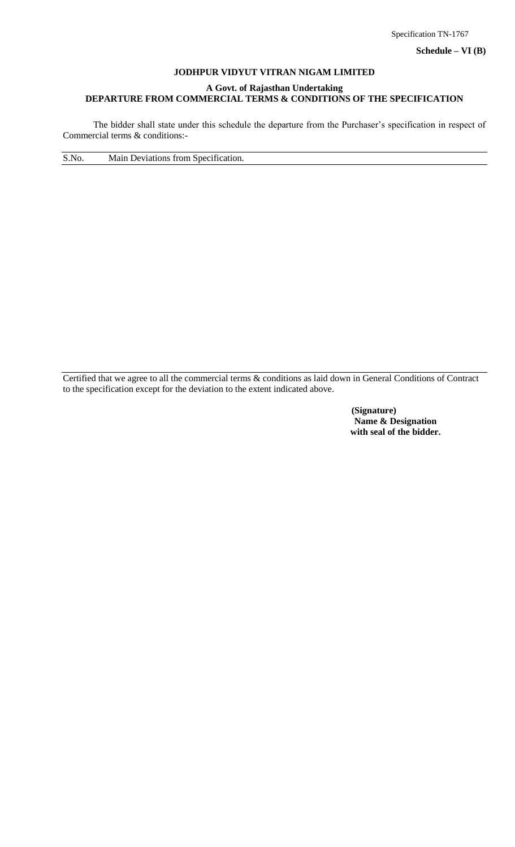**Schedule – VI (B)**

#### **JODHPUR VIDYUT VITRAN NIGAM LIMITED**

#### **A Govt. of Rajasthan Undertaking DEPARTURE FROM COMMERCIAL TERMS & CONDITIONS OF THE SPECIFICATION**

The bidder shall state under this schedule the departure from the Purchaser's specification in respect of Commercial terms & conditions:-

S.No. Main Deviations from Specification.

Certified that we agree to all the commercial terms & conditions as laid down in General Conditions of Contract to the specification except for the deviation to the extent indicated above.

> **(Signature) Name & Designation with seal of the bidder.**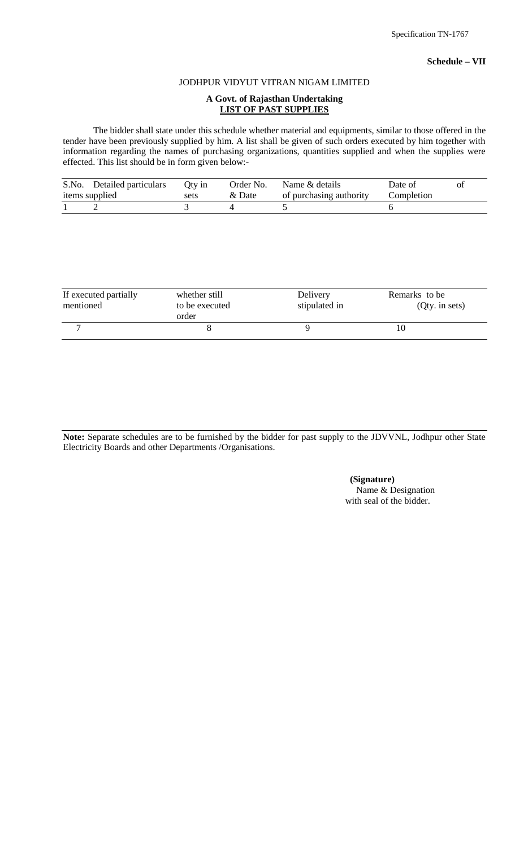#### JODHPUR VIDYUT VITRAN NIGAM LIMITED

## **A Govt. of Rajasthan Undertaking LIST OF PAST SUPPLIES**

The bidder shall state under this schedule whether material and equipments, similar to those offered in the tender have been previously supplied by him. A list shall be given of such orders executed by him together with information regarding the names of purchasing organizations, quantities supplied and when the supplies were effected. This list should be in form given below:-

| S.No. Detailed particulars | Oty in | Order No. | Name & details          | Date of    | Ol |
|----------------------------|--------|-----------|-------------------------|------------|----|
| items supplied             | sets   | & Date    | of purchasing authority | Completion |    |
|                            |        |           |                         |            |    |

| If executed partially<br>mentioned | whether still<br>to be executed<br>order | Delivery<br>stipulated in | Remarks to be<br>(Qty. in sets) |
|------------------------------------|------------------------------------------|---------------------------|---------------------------------|
|                                    |                                          |                           |                                 |

**Note:** Separate schedules are to be furnished by the bidder for past supply to the JDVVNL, Jodhpur other State Electricity Boards and other Departments /Organisations.

> **(Signature)** Name & Designation with seal of the bidder.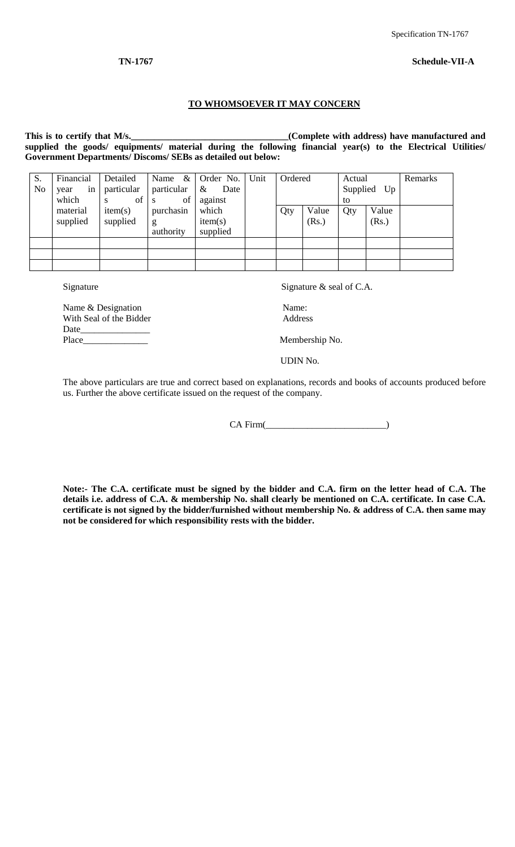#### **TO WHOMSOEVER IT MAY CONCERN**

This is to certify that M/s.<br><u>Complete with address</u>) have manufactured and **supplied the goods/ equipments/ material during the following financial year(s) to the Electrical Utilities/ Government Departments/ Discoms/ SEBs as detailed out below:**

| S.<br>No | Financial<br>in<br>year<br>which | Detailed<br>particular<br>of<br>S | Name<br>particular<br>of<br>- S | $\&$ Order No.<br>$\&$<br>Date<br>against | Unit | Ordered |                | Actual<br>to | Supplied Up    | Remarks |
|----------|----------------------------------|-----------------------------------|---------------------------------|-------------------------------------------|------|---------|----------------|--------------|----------------|---------|
|          | material<br>supplied             | item(s)<br>supplied               | purchasin<br>g<br>authority     | which<br>item(s)<br>supplied              |      | Qty     | Value<br>(Rs.) | Qty          | Value<br>(Rs.) |         |
|          |                                  |                                   |                                 |                                           |      |         |                |              |                |         |
|          |                                  |                                   |                                 |                                           |      |         |                |              |                |         |
|          |                                  |                                   |                                 |                                           |      |         |                |              |                |         |

Signature Signature  $\alpha$  seal of C.A.

Name & Designation Name: With Seal of the Bidder Address Date\_ Place\_\_\_\_\_\_\_\_\_\_\_\_\_\_ Membership No.

UDIN No.

The above particulars are true and correct based on explanations, records and books of accounts produced before us. Further the above certificate issued on the request of the company.

CA Firm(\_\_\_\_\_\_\_\_\_\_\_\_\_\_\_\_\_\_\_\_\_\_\_\_\_\_)

**Note:- The C.A. certificate must be signed by the bidder and C.A. firm on the letter head of C.A. The details i.e. address of C.A. & membership No. shall clearly be mentioned on C.A. certificate. In case C.A. certificate is not signed by the bidder/furnished without membership No. & address of C.A. then same may not be considered for which responsibility rests with the bidder.**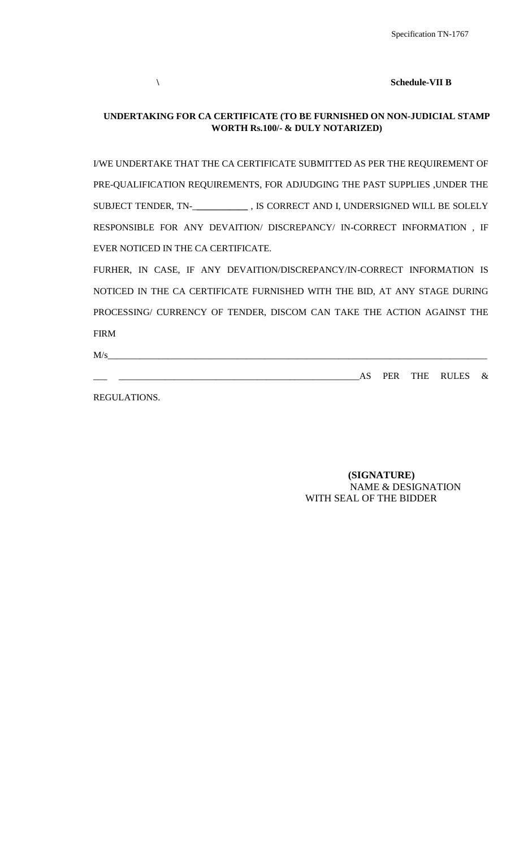**\ Schedule-VII B**

## **UNDERTAKING FOR CA CERTIFICATE (TO BE FURNISHED ON NON-JUDICIAL STAMP WORTH Rs.100/- & DULY NOTARIZED)**

I/WE UNDERTAKE THAT THE CA CERTIFICATE SUBMITTED AS PER THE REQUIREMENT OF PRE-QUALIFICATION REQUIREMENTS, FOR ADJUDGING THE PAST SUPPLIES ,UNDER THE SUBJECT TENDER, TN-\_**\_\_\_\_\_\_\_\_\_\_\_** , IS CORRECT AND I, UNDERSIGNED WILL BE SOLELY RESPONSIBLE FOR ANY DEVAITION/ DISCREPANCY/ IN-CORRECT INFORMATION , IF EVER NOTICED IN THE CA CERTIFICATE.

FURHER, IN CASE, IF ANY DEVAITION/DISCREPANCY/IN-CORRECT INFORMATION IS NOTICED IN THE CA CERTIFICATE FURNISHED WITH THE BID, AT ANY STAGE DURING PROCESSING/ CURRENCY OF TENDER, DISCOM CAN TAKE THE ACTION AGAINST THE FIRM

 $M/s$ 

\_\_\_ \_\_\_\_\_\_\_\_\_\_\_\_\_\_\_\_\_\_\_\_\_\_\_\_\_\_\_\_\_\_\_\_\_\_\_\_\_\_\_\_\_\_\_\_\_\_\_\_\_\_\_\_AS PER THE RULES &

REGULATIONS.

 **(SIGNATURE)** NAME & DESIGNATION WITH SEAL OF THE BIDDER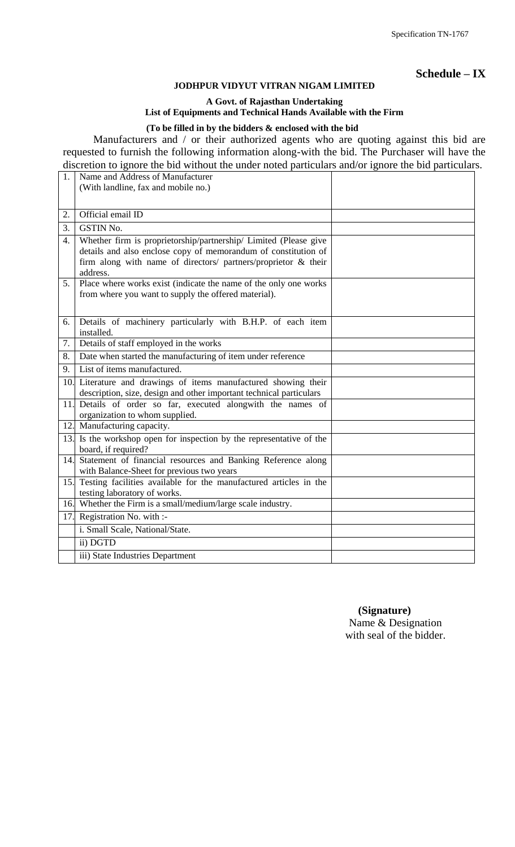**Schedule – IX**

## **JODHPUR VIDYUT VITRAN NIGAM LIMITED**

**A Govt. of Rajasthan Undertaking**

# **List of Equipments and Technical Hands Available with the Firm**

# **(To be filled in by the bidders & enclosed with the bid**

Manufacturers and / or their authorized agents who are quoting against this bid are requested to furnish the following information along-with the bid. The Purchaser will have the discretion to ignore the bid without the under noted particulars and/or ignore the bid particulars.

| 1.               | Name and Address of Manufacturer                                                                                                                                                                                 |  |
|------------------|------------------------------------------------------------------------------------------------------------------------------------------------------------------------------------------------------------------|--|
|                  | (With landline, fax and mobile no.)                                                                                                                                                                              |  |
|                  |                                                                                                                                                                                                                  |  |
| 2.               | Official email ID                                                                                                                                                                                                |  |
| 3.               | <b>GSTIN No.</b>                                                                                                                                                                                                 |  |
| $\overline{4}$ . | Whether firm is proprietorship/partnership/ Limited (Please give<br>details and also enclose copy of memorandum of constitution of<br>firm along with name of directors/ partners/proprietor & their<br>address. |  |
| 5.               | Place where works exist (indicate the name of the only one works<br>from where you want to supply the offered material).                                                                                         |  |
| 6.               | Details of machinery particularly with B.H.P. of each item<br>installed.                                                                                                                                         |  |
| 7.               | Details of staff employed in the works                                                                                                                                                                           |  |
| 8.               | Date when started the manufacturing of item under reference                                                                                                                                                      |  |
| 9.               | List of items manufactured.                                                                                                                                                                                      |  |
|                  | 10. Literature and drawings of items manufactured showing their<br>description, size, design and other important technical particulars                                                                           |  |
| 11.              | Details of order so far, executed alongwith the names of<br>organization to whom supplied.                                                                                                                       |  |
|                  | 12. Manufacturing capacity.                                                                                                                                                                                      |  |
|                  | 13. Is the workshop open for inspection by the representative of the<br>board, if required?                                                                                                                      |  |
| 14.              | Statement of financial resources and Banking Reference along<br>with Balance-Sheet for previous two years                                                                                                        |  |
| 15.              | Testing facilities available for the manufactured articles in the<br>testing laboratory of works.                                                                                                                |  |
|                  | 16. Whether the Firm is a small/medium/large scale industry.                                                                                                                                                     |  |
| 17.              | Registration No. with :-                                                                                                                                                                                         |  |
|                  | i. Small Scale, National/State.                                                                                                                                                                                  |  |
|                  | ii) DGTD                                                                                                                                                                                                         |  |
|                  | iii) State Industries Department                                                                                                                                                                                 |  |

 **(Signature)** Name & Designation with seal of the bidder.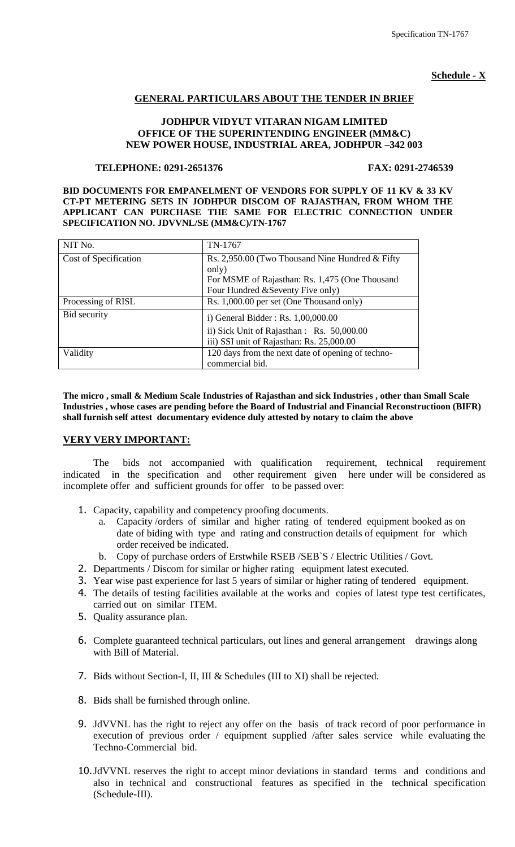## **Schedule - X**

## **GENERAL PARTICULARS ABOUT THE TENDER IN BRIEF**

## **JODHPUR VIDYUT VITARAN NIGAM LIMITED OFFICE OF THE SUPERINTENDING ENGINEER (MM&C) NEW POWER HOUSE, INDUSTRIAL AREA, JODHPUR –342 003**

#### **TELEPHONE: 0291-2651376 FAX: 0291-2746539**

**BID DOCUMENTS FOR EMPANELMENT OF VENDORS FOR SUPPLY OF 11 KV & 33 KV CT-PT METERING SETS IN JODHPUR DISCOM OF RAJASTHAN, FROM WHOM THE APPLICANT CAN PURCHASE THE SAME FOR ELECTRIC CONNECTION UNDER SPECIFICATION NO. JDVVNL/SE (MM&C)/TN-1767**

| NIT No.               | TN-1767                                                                                                                                          |
|-----------------------|--------------------------------------------------------------------------------------------------------------------------------------------------|
| Cost of Specification | Rs. 2,950.00 (Two Thousand Nine Hundred & Fifty)<br>only)<br>For MSME of Rajasthan: Rs. 1,475 (One Thousand<br>Four Hundred & Seventy Five only) |
| Processing of RISL    | Rs. 1,000.00 per set (One Thousand only)                                                                                                         |
| Bid security          | i) General Bidder: Rs. $1,00,000.00$<br>ii) Sick Unit of Rajasthan : Rs. 50,000.00<br>iii) SSI unit of Rajasthan: Rs. 25,000.00                  |
| Validity              | 120 days from the next date of opening of techno-<br>commercial bid.                                                                             |

**The micro , small & Medium Scale Industries of Rajasthan and sick Industries , other than Small Scale Industries , whose cases are pending before the Board of Industrial and Financial Reconstructioon (BIFR) shall furnish self attest documentary evidence duly attested by notary to claim the above**

#### **VERY VERY IMPORTANT:**

The bids not accompanied with qualification requirement, technical requirement indicated in the specification and other requirement given here under will be considered as incomplete offer and sufficient grounds for offer to be passed over:

- 1. Capacity, capability and competency proofing documents.
	- a. Capacity /orders of similar and higher rating of tendered equipment booked as on date of biding with type and rating and construction details of equipment for which order received be indicated.
	- b. Copy of purchase orders of Erstwhile RSEB /SEB`S / Electric Utilities / Govt.
- 2. Departments / Discom for similar or higher rating equipment latest executed.
- 3. Year wise past experience for last 5 years of similar or higher rating of tendered equipment.
- 4. The details of testing facilities available at the works and copies of latest type test certificates, carried out on similar ITEM.
- 5. Quality assurance plan.
- 6. Complete guaranteed technical particulars, out lines and general arrangement drawings along with Bill of Material.
- 7. Bids without Section-I, II, III & Schedules (III to XI) shall be rejected.
- 8. Bids shall be furnished through online.
- 9. JdVVNL has the right to reject any offer on the basis of track record of poor performance in execution of previous order / equipment supplied /after sales service while evaluating the Techno-Commercial bid.
- 10.JdVVNL reserves the right to accept minor deviations in standard terms and conditions and also in technical and constructional features as specified in the technical specification (Schedule-III).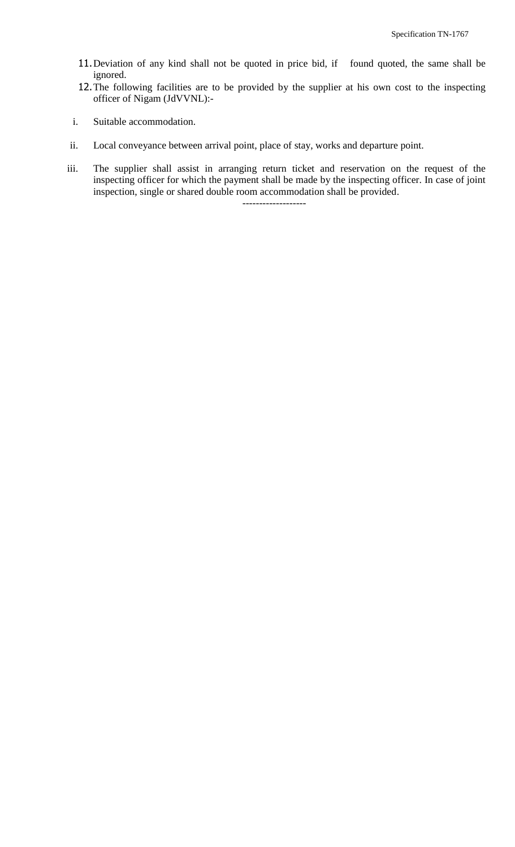- 11.Deviation of any kind shall not be quoted in price bid, if found quoted, the same shall be ignored.
- 12.The following facilities are to be provided by the supplier at his own cost to the inspecting officer of Nigam (JdVVNL):-
- i. Suitable accommodation.
- ii. Local conveyance between arrival point, place of stay, works and departure point.
- iii. The supplier shall assist in arranging return ticket and reservation on the request of the inspecting officer for which the payment shall be made by the inspecting officer. In case of joint inspection, single or shared double room accommodation shall be provided.

-------------------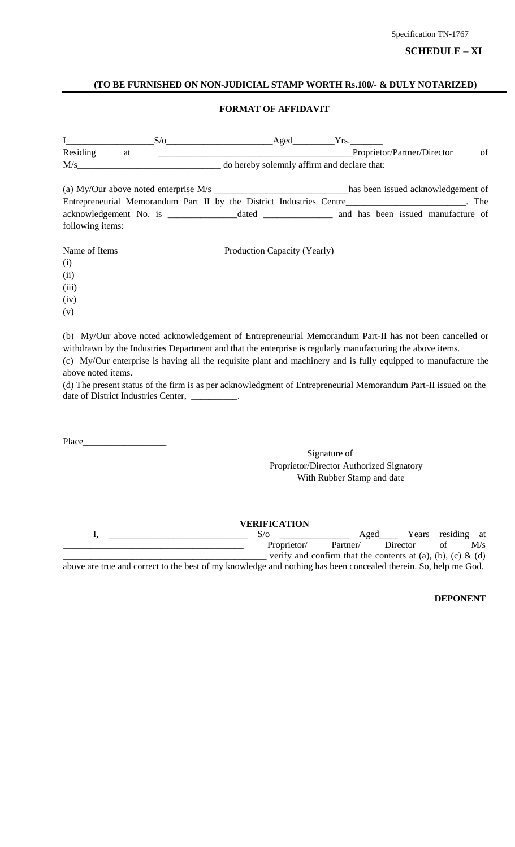## **SCHEDULE – XI**

#### **(TO BE FURNISHED ON NON-JUDICIAL STAMP WORTH Rs.100/- & DULY NOTARIZED)**

#### **FORMAT OF AFFIDAVIT**

| $\mathbf{I}$ and $\mathbf{I}$ and $\mathbf{I}$ and $\mathbf{I}$ and $\mathbf{I}$ and $\mathbf{I}$ and $\mathbf{I}$ and $\mathbf{I}$ and $\mathbf{I}$ and $\mathbf{I}$ and $\mathbf{I}$ and $\mathbf{I}$ and $\mathbf{I}$ and $\mathbf{I}$ and $\mathbf{I}$ and $\mathbf{I}$ and $\mathbf{I}$ and |    |  |  | $S/O$ Aged $Yrs$ .           |  |  |    |
|--------------------------------------------------------------------------------------------------------------------------------------------------------------------------------------------------------------------------------------------------------------------------------------------------|----|--|--|------------------------------|--|--|----|
| Residing                                                                                                                                                                                                                                                                                         | at |  |  | Proprietor/Partner/Director  |  |  | of |
| $M/s$ do hereby solemnly affirm and declare that:                                                                                                                                                                                                                                                |    |  |  |                              |  |  |    |
| (a) My/Our above noted enterprise M/s _____________________________has been issued acknowledgement of                                                                                                                                                                                            |    |  |  |                              |  |  |    |
| Entrepreneurial Memorandum Part II by the District Industries Centre______________________. The                                                                                                                                                                                                  |    |  |  |                              |  |  |    |
|                                                                                                                                                                                                                                                                                                  |    |  |  |                              |  |  |    |
| following items:                                                                                                                                                                                                                                                                                 |    |  |  |                              |  |  |    |
| Name of Items                                                                                                                                                                                                                                                                                    |    |  |  | Production Capacity (Yearly) |  |  |    |
| (i)                                                                                                                                                                                                                                                                                              |    |  |  |                              |  |  |    |
| (ii)                                                                                                                                                                                                                                                                                             |    |  |  |                              |  |  |    |
| (iii)                                                                                                                                                                                                                                                                                            |    |  |  |                              |  |  |    |
| (iv)                                                                                                                                                                                                                                                                                             |    |  |  |                              |  |  |    |
| (v)                                                                                                                                                                                                                                                                                              |    |  |  |                              |  |  |    |
| (b) My/Our above noted acknowledgement of Entrepreneurial Memorandum Part-II has not been cancelled or                                                                                                                                                                                           |    |  |  |                              |  |  |    |

withdrawn by the Industries Department and that the enterprise is regularly manufacturing the above items. (c) My/Our enterprise is having all the requisite plant and machinery and is fully equipped to manufacture the above noted items.

(d) The present status of the firm is as per acknowledgment of Entrepreneurial Memorandum Part-II issued on the date of District Industries Center,

Place\_\_\_\_\_

Signature of Proprietor/Director Authorized Signatory With Rubber Stamp and date

**VERIFICATION**<br>S/o I, \_\_\_\_\_\_\_\_\_\_\_\_\_\_\_\_\_\_\_\_\_\_\_\_\_\_\_\_\_\_ S/o \_\_\_\_\_\_\_\_\_\_\_\_\_\_\_ Aged\_\_\_\_ Years residing at Proprietor/ Partner/ Director of M/s - verify and confirm that the contents at  $(a)$ ,  $(b)$ ,  $(c)$  &  $(d)$ above are true and correct to the best of my knowledge and nothing has been concealed therein. So, help me God.

**DEPONENT**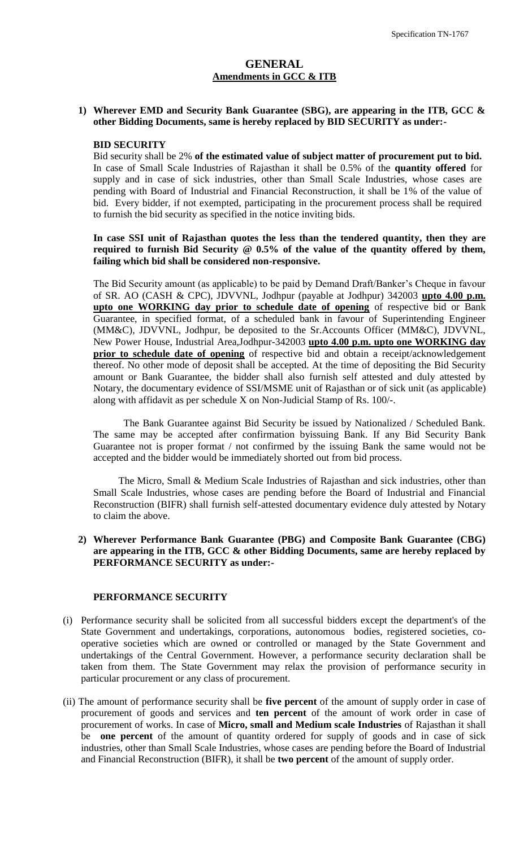## **GENERAL Amendments in GCC & ITB**

#### **1) Wherever EMD and Security Bank Guarantee (SBG), are appearing in the ITB, GCC & other Bidding Documents, same is hereby replaced by BID SECURITY as under:-**

#### **BID SECURITY**

Bid security shall be 2% **of the estimated value of subject matter of procurement put to bid.** In case of Small Scale Industries of Rajasthan it shall be 0.5% of the **quantity offered** for supply and in case of sick industries, other than Small Scale Industries, whose cases are pending with Board of Industrial and Financial Reconstruction, it shall be 1% of the value of bid. Every bidder, if not exempted, participating in the procurement process shall be required to furnish the bid security as specified in the notice inviting bids.

**In case SSI unit of Rajasthan quotes the less than the tendered quantity, then they are required to furnish Bid Security @ 0.5% of the value of the quantity offered by them, failing which bid shall be considered non-responsive.** 

The Bid Security amount (as applicable) to be paid by Demand Draft/Banker"s Cheque in favour of SR. AO (CASH & CPC), JDVVNL, Jodhpur (payable at Jodhpur) 342003 **upto 4.00 p.m. upto one WORKING day prior to schedule date of opening** of respective bid or Bank Guarantee, in specified format, of a scheduled bank in favour of Superintending Engineer (MM&C), JDVVNL, Jodhpur, be deposited to the Sr.Accounts Officer (MM&C), JDVVNL, New Power House, Industrial Area,Jodhpur-342003 **upto 4.00 p.m. upto one WORKING day prior to schedule date of opening** of respective bid and obtain a receipt/acknowledgement thereof. No other mode of deposit shall be accepted. At the time of depositing the Bid Security amount or Bank Guarantee, the bidder shall also furnish self attested and duly attested by Notary, the documentary evidence of SSI/MSME unit of Rajasthan or of sick unit (as applicable) along with affidavit as per schedule X on Non-Judicial Stamp of Rs. 100/-.

The Bank Guarantee against Bid Security be issued by Nationalized / Scheduled Bank. The same may be accepted after confirmation byissuing Bank. If any Bid Security Bank Guarantee not is proper format / not confirmed by the issuing Bank the same would not be accepted and the bidder would be immediately shorted out from bid process.

 The Micro, Small & Medium Scale Industries of Rajasthan and sick industries, other than Small Scale Industries, whose cases are pending before the Board of Industrial and Financial Reconstruction (BIFR) shall furnish self-attested documentary evidence duly attested by Notary to claim the above.

#### **2) Wherever Performance Bank Guarantee (PBG) and Composite Bank Guarantee (CBG) are appearing in the ITB, GCC & other Bidding Documents, same are hereby replaced by PERFORMANCE SECURITY as under:-**

## **PERFORMANCE SECURITY**

- (i) Performance security shall be solicited from all successful bidders except the department's of the State Government and undertakings, corporations, autonomous bodies, registered societies, cooperative societies which are owned or controlled or managed by the State Government and undertakings of the Central Government. However, a performance security declaration shall be taken from them. The State Government may relax the provision of performance security in particular procurement or any class of procurement.
- (ii) The amount of performance security shall be **five percent** of the amount of supply order in case of procurement of goods and services and **ten percent** of the amount of work order in case of procurement of works. In case of **Micro, small and Medium scale Industries** of Rajasthan it shall be **one percent** of the amount of quantity ordered for supply of goods and in case of sick industries, other than Small Scale Industries, whose cases are pending before the Board of Industrial and Financial Reconstruction (BIFR), it shall be **two percent** of the amount of supply order.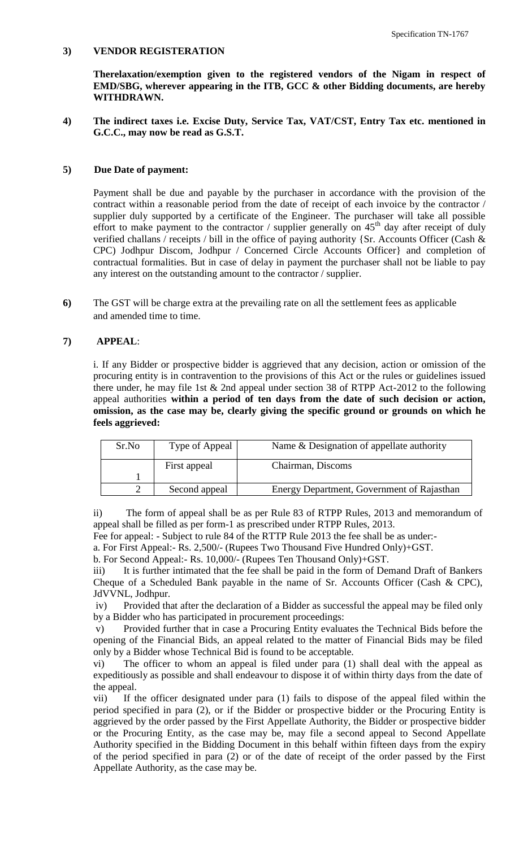#### **3) VENDOR REGISTERATION**

**Therelaxation/exemption given to the registered vendors of the Nigam in respect of EMD/SBG, wherever appearing in the ITB, GCC & other Bidding documents, are hereby WITHDRAWN.**

**4) The indirect taxes i.e. Excise Duty, Service Tax, VAT/CST, Entry Tax etc. mentioned in G.C.C., may now be read as G.S.T.**

#### **5) Due Date of payment:**

Payment shall be due and payable by the purchaser in accordance with the provision of the contract within a reasonable period from the date of receipt of each invoice by the contractor / supplier duly supported by a certificate of the Engineer. The purchaser will take all possible effort to make payment to the contractor / supplier generally on  $45<sup>th</sup>$  day after receipt of duly verified challans / receipts / bill in the office of paying authority {Sr. Accounts Officer (Cash & CPC) Jodhpur Discom, Jodhpur / Concerned Circle Accounts Officer} and completion of contractual formalities. But in case of delay in payment the purchaser shall not be liable to pay any interest on the outstanding amount to the contractor / supplier.

**6)** The GST will be charge extra at the prevailing rate on all the settlement fees as applicable and amended time to time.

## **7) APPEAL**:

i. If any Bidder or prospective bidder is aggrieved that any decision, action or omission of the procuring entity is in contravention to the provisions of this Act or the rules or guidelines issued there under, he may file 1st & 2nd appeal under section 38 of RTPP Act-2012 to the following appeal authorities **within a period of ten days from the date of such decision or action, omission, as the case may be, clearly giving the specific ground or grounds on which he feels aggrieved:** 

| Sr.No | Type of Appeal | Name & Designation of appellate authority  |
|-------|----------------|--------------------------------------------|
|       | First appeal   | Chairman, Discoms                          |
|       |                |                                            |
|       | Second appeal  | Energy Department, Government of Rajasthan |

ii) The form of appeal shall be as per Rule 83 of RTPP Rules, 2013 and memorandum of appeal shall be filled as per form-1 as prescribed under RTPP Rules, 2013.

Fee for appeal: - Subject to rule 84 of the RTTP Rule 2013 the fee shall be as under:-

a. For First Appeal:- Rs. 2,500/- (Rupees Two Thousand Five Hundred Only)+GST.

b. For Second Appeal:- Rs. 10,000/- (Rupees Ten Thousand Only)+GST.

iii) It is further intimated that the fee shall be paid in the form of Demand Draft of Bankers Cheque of a Scheduled Bank payable in the name of Sr. Accounts Officer (Cash & CPC), JdVVNL, Jodhpur.

iv) Provided that after the declaration of a Bidder as successful the appeal may be filed only by a Bidder who has participated in procurement proceedings:

v) Provided further that in case a Procuring Entity evaluates the Technical Bids before the opening of the Financial Bids, an appeal related to the matter of Financial Bids may be filed only by a Bidder whose Technical Bid is found to be acceptable.

vi) The officer to whom an appeal is filed under para (1) shall deal with the appeal as expeditiously as possible and shall endeavour to dispose it of within thirty days from the date of the appeal.

vii) If the officer designated under para (1) fails to dispose of the appeal filed within the period specified in para (2), or if the Bidder or prospective bidder or the Procuring Entity is aggrieved by the order passed by the First Appellate Authority, the Bidder or prospective bidder or the Procuring Entity, as the case may be, may file a second appeal to Second Appellate Authority specified in the Bidding Document in this behalf within fifteen days from the expiry of the period specified in para (2) or of the date of receipt of the order passed by the First Appellate Authority, as the case may be.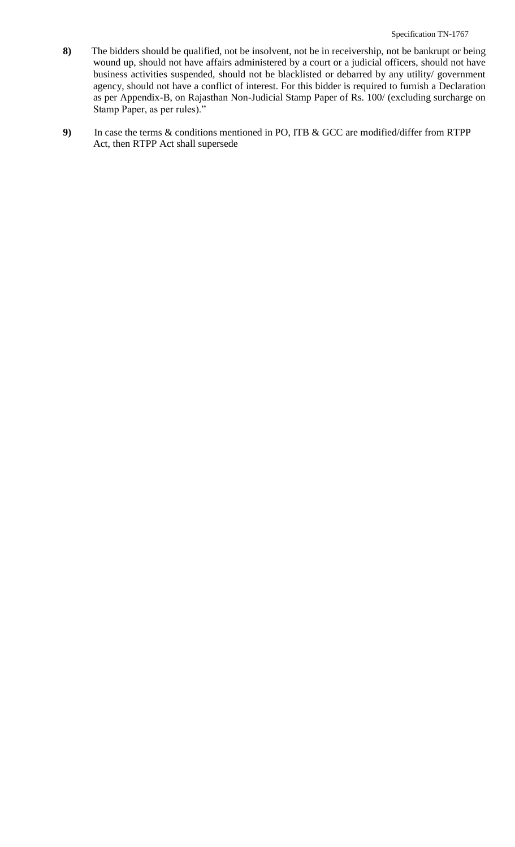- **8)** The bidders should be qualified, not be insolvent, not be in receivership, not be bankrupt or being wound up, should not have affairs administered by a court or a judicial officers, should not have business activities suspended, should not be blacklisted or debarred by any utility/ government agency, should not have a conflict of interest. For this bidder is required to furnish a Declaration as per Appendix-B, on Rajasthan Non-Judicial Stamp Paper of Rs. 100/ (excluding surcharge on Stamp Paper, as per rules)."
- **9)** In case the terms & conditions mentioned in PO, ITB & GCC are modified/differ from RTPP Act, then RTPP Act shall supersede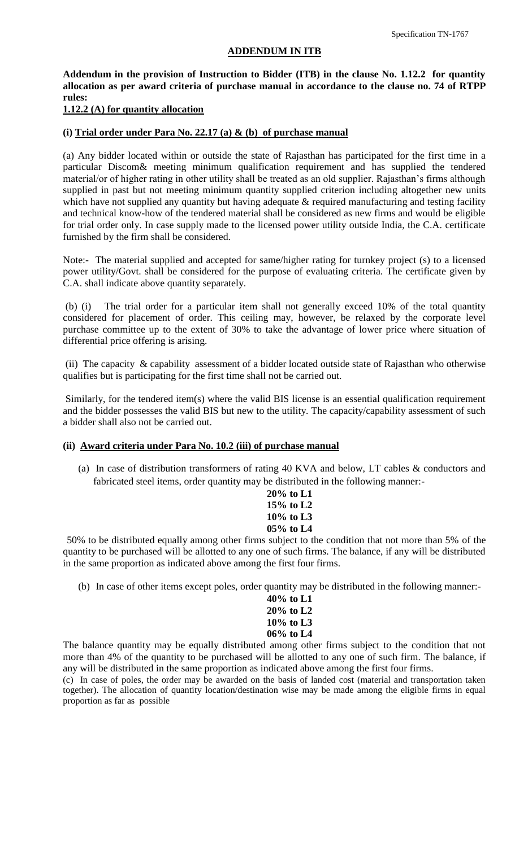#### **ADDENDUM IN ITB**

**Addendum in the provision of Instruction to Bidder (ITB) in the clause No. 1.12.2 for quantity allocation as per award criteria of purchase manual in accordance to the clause no. 74 of RTPP rules:**

#### **1.12.2 (A) for quantity allocation**

#### **(i) Trial order under Para No. 22.17 (a) & (b) of purchase manual**

(a) Any bidder located within or outside the state of Rajasthan has participated for the first time in a particular Discom& meeting minimum qualification requirement and has supplied the tendered material/or of higher rating in other utility shall be treated as an old supplier. Rajasthan"s firms although supplied in past but not meeting minimum quantity supplied criterion including altogether new units which have not supplied any quantity but having adequate & required manufacturing and testing facility and technical know-how of the tendered material shall be considered as new firms and would be eligible for trial order only. In case supply made to the licensed power utility outside India, the C.A. certificate furnished by the firm shall be considered.

Note:- The material supplied and accepted for same/higher rating for turnkey project (s) to a licensed power utility/Govt. shall be considered for the purpose of evaluating criteria. The certificate given by C.A. shall indicate above quantity separately.

(b) (i) The trial order for a particular item shall not generally exceed 10% of the total quantity considered for placement of order. This ceiling may, however, be relaxed by the corporate level purchase committee up to the extent of 30% to take the advantage of lower price where situation of differential price offering is arising.

(ii) The capacity & capability assessment of a bidder located outside state of Rajasthan who otherwise qualifies but is participating for the first time shall not be carried out.

Similarly, for the tendered item(s) where the valid BIS license is an essential qualification requirement and the bidder possesses the valid BIS but new to the utility. The capacity/capability assessment of such a bidder shall also not be carried out.

#### **(ii) Award criteria under Para No. 10.2 (iii) of purchase manual**

(a) In case of distribution transformers of rating 40 KVA and below, LT cables & conductors and fabricated steel items, order quantity may be distributed in the following manner:-

| $20\%$ to L1 |  |
|--------------|--|
| $15\%$ to L2 |  |
| $10\%$ to L3 |  |
| 05% to L4    |  |

50% to be distributed equally among other firms subject to the condition that not more than 5% of the quantity to be purchased will be allotted to any one of such firms. The balance, if any will be distributed in the same proportion as indicated above among the first four firms.

(b) In case of other items except poles, order quantity may be distributed in the following manner:-

**40% to L1 20% to L2 10% to L3 06% to L4**

The balance quantity may be equally distributed among other firms subject to the condition that not more than 4% of the quantity to be purchased will be allotted to any one of such firm. The balance, if any will be distributed in the same proportion as indicated above among the first four firms.

(c) In case of poles, the order may be awarded on the basis of landed cost (material and transportation taken together). The allocation of quantity location/destination wise may be made among the eligible firms in equal proportion as far as possible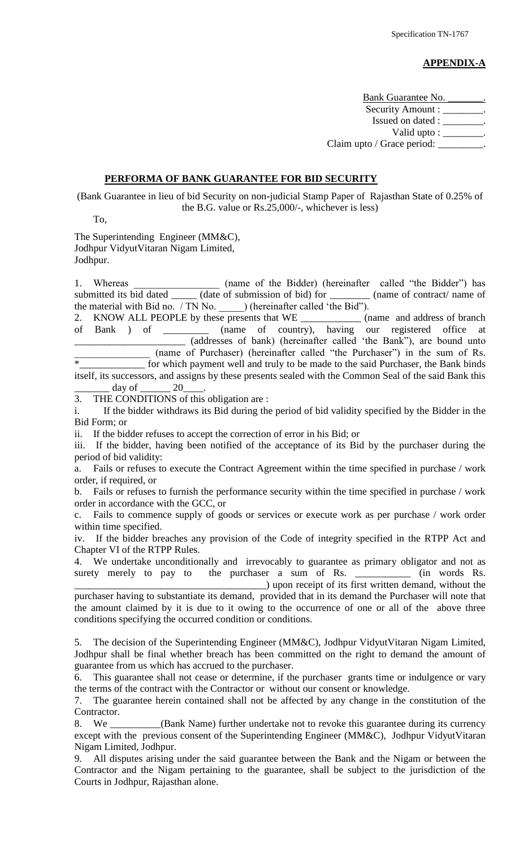## **APPENDIX-A**

Bank Guarantee No. Security Amount : \_\_\_\_\_\_\_ Issued on dated : \_\_\_\_\_\_\_\_. Valid upto : \_\_\_\_\_\_\_\_. Claim upto / Grace period: \_\_\_\_\_\_\_\_

#### **PERFORMA OF BANK GUARANTEE FOR BID SECURITY**

(Bank Guarantee in lieu of bid Security on non-judicial Stamp Paper of Rajasthan State of 0.25% of the B.G. value or Rs.25,000/-, whichever is less)

To,

The Superintending Engineer (MM&C), Jodhpur VidyutVitaran Nigam Limited, Jodhpur.

1. Whereas \_\_\_\_\_\_\_\_\_\_\_\_\_\_\_\_\_\_ (name of the Bidder) (hereinafter called "the Bidder") has submitted its bid dated \_\_\_\_\_ (hame of the Bluder) (hereinaliter called the Bluder) has submitted its bid dated \_\_\_\_\_ (date of submission of bid) for \_\_\_\_\_\_\_ (name of contract/ name of the material with Bid no. / TN No. \_\_\_\_\_\_\_) (hereinafter called 'the Bid'').

2. KNOW ALL PEOPLE by these presents that WE \_\_\_\_\_\_\_\_\_\_\_\_\_\_ (name and address of branch of Bank ) of \_\_\_\_\_\_\_\_\_ (name of country), having our registered office at \_\_\_\_\_\_\_\_\_\_\_\_\_\_\_\_\_\_\_\_\_\_ (addresses of bank) (hereinafter called "the Bank"), are bound unto (name of Purchaser) (hereinafter called "the Purchaser") in the sum of Rs.<br>For which payment well and truly to be made to the said Purchaser, the Bank binds for which payment well and truly to be made to the said Purchaser, the Bank binds itself, its successors, and assigns by these presents sealed with the Common Seal of the said Bank this

 $\frac{day}{}$  of  $\frac{20}{}$ 3. THE CONDITIONS of this obligation are :

i. If the bidder withdraws its Bid during the period of bid validity specified by the Bidder in the Bid Form; or

ii. If the bidder refuses to accept the correction of error in his Bid; or

iii. If the bidder, having been notified of the acceptance of its Bid by the purchaser during the period of bid validity:

a. Fails or refuses to execute the Contract Agreement within the time specified in purchase / work order, if required, or

b. Fails or refuses to furnish the performance security within the time specified in purchase / work order in accordance with the GCC, or

c. Fails to commence supply of goods or services or execute work as per purchase / work order within time specified.

iv. If the bidder breaches any provision of the Code of integrity specified in the RTPP Act and Chapter VI of the RTPP Rules.

4. We undertake unconditionally and irrevocably to guarantee as primary obligator and not as surety merely to pay to the purchaser a sum of Rs. \_\_\_\_\_\_\_\_\_\_\_\_ (in words Rs. \_\_\_\_\_\_\_\_\_\_\_\_\_\_\_\_\_\_\_\_\_\_\_\_\_\_\_\_\_\_\_\_\_\_\_\_\_\_) upon receipt of its first written demand, without the purchaser having to substantiate its demand, provided that in its demand the Purchaser will note that

the amount claimed by it is due to it owing to the occurrence of one or all of the above three conditions specifying the occurred condition or conditions.

5. The decision of the Superintending Engineer (MM&C), Jodhpur VidyutVitaran Nigam Limited, Jodhpur shall be final whether breach has been committed on the right to demand the amount of guarantee from us which has accrued to the purchaser.

6. This guarantee shall not cease or determine, if the purchaser grants time or indulgence or vary the terms of the contract with the Contractor or without our consent or knowledge.

7. The guarantee herein contained shall not be affected by any change in the constitution of the Contractor.

8. We \_\_\_\_\_\_\_\_\_(Bank Name) further undertake not to revoke this guarantee during its currency except with the previous consent of the Superintending Engineer (MM&C), Jodhpur VidyutVitaran Nigam Limited, Jodhpur.

9. All disputes arising under the said guarantee between the Bank and the Nigam or between the Contractor and the Nigam pertaining to the guarantee, shall be subject to the jurisdiction of the Courts in Jodhpur, Rajasthan alone.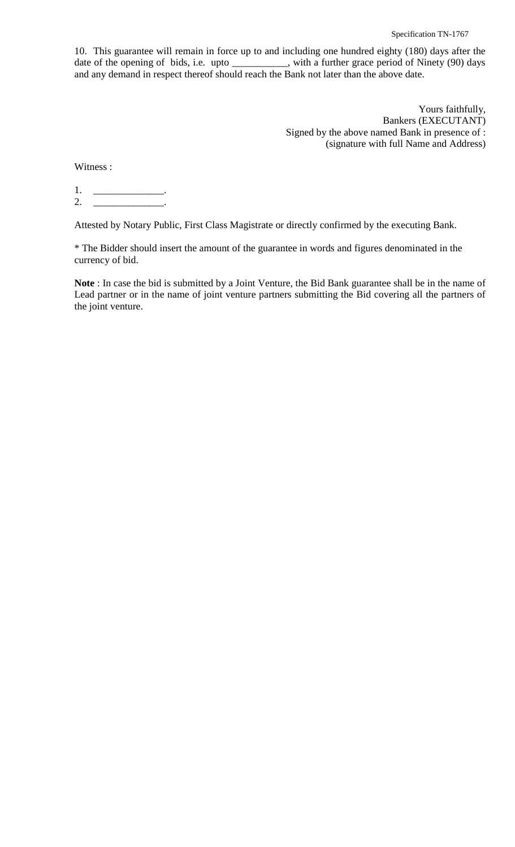10. This guarantee will remain in force up to and including one hundred eighty (180) days after the date of the opening of bids, i.e. upto \_\_\_\_\_\_\_\_, with a further grace period of Ninety (90) days and any demand in respect thereof should reach the Bank not later than the above date.

> Yours faithfully, Bankers (EXECUTANT) Signed by the above named Bank in presence of : (signature with full Name and Address)

Witness :

1. \_\_\_\_\_\_\_\_\_\_\_\_\_\_. 2. \_\_\_\_\_\_\_\_\_\_\_\_\_\_\_\_\_\_.

Attested by Notary Public, First Class Magistrate or directly confirmed by the executing Bank.

\* The Bidder should insert the amount of the guarantee in words and figures denominated in the currency of bid.

**Note** : In case the bid is submitted by a Joint Venture, the Bid Bank guarantee shall be in the name of Lead partner or in the name of joint venture partners submitting the Bid covering all the partners of the joint venture.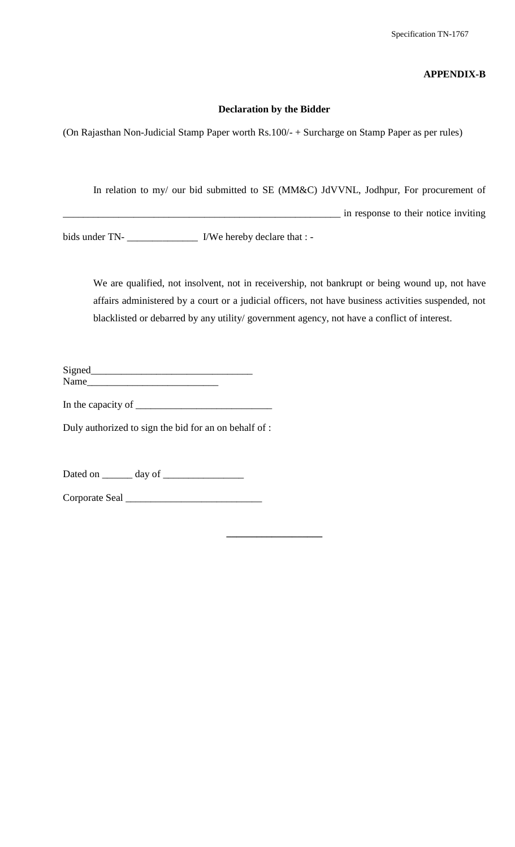## **APPENDIX-B**

#### **Declaration by the Bidder**

(On Rajasthan Non-Judicial Stamp Paper worth Rs.100/- + Surcharge on Stamp Paper as per rules)

In relation to my/ our bid submitted to SE (MM&C) JdVVNL, Jodhpur, For procurement of

\_\_\_\_\_\_\_\_\_\_\_\_\_\_\_\_\_\_\_\_\_\_\_\_\_\_\_\_\_\_\_\_\_\_\_\_\_\_\_\_\_\_\_\_\_\_\_\_\_\_\_\_\_\_\_ in response to their notice inviting

bids under TN- \_\_\_\_\_\_\_\_\_\_\_\_\_\_\_\_\_\_\_\_\_\_\_ I/We hereby declare that : -

We are qualified, not insolvent, not in receivership, not bankrupt or being wound up, not have affairs administered by a court or a judicial officers, not have business activities suspended, not blacklisted or debarred by any utility/ government agency, not have a conflict of interest.

**\_\_\_\_\_\_\_\_\_\_\_\_\_\_\_\_\_\_\_**

Signed\_\_\_\_\_\_\_\_\_\_\_\_\_\_\_\_\_\_\_\_\_\_\_\_\_\_\_\_\_\_\_\_ Name\_\_\_\_\_\_\_\_\_\_\_\_\_\_\_\_\_\_\_\_\_\_\_\_\_\_

In the capacity of \_\_\_\_\_\_\_\_\_\_\_\_\_\_\_\_\_\_\_\_\_\_\_\_\_\_\_

Duly authorized to sign the bid for an on behalf of :

Dated on \_\_\_\_\_\_ day of \_\_\_\_\_\_\_\_\_\_\_\_\_\_\_\_

Corporate Seal \_\_\_\_\_\_\_\_\_\_\_\_\_\_\_\_\_\_\_\_\_\_\_\_\_\_\_